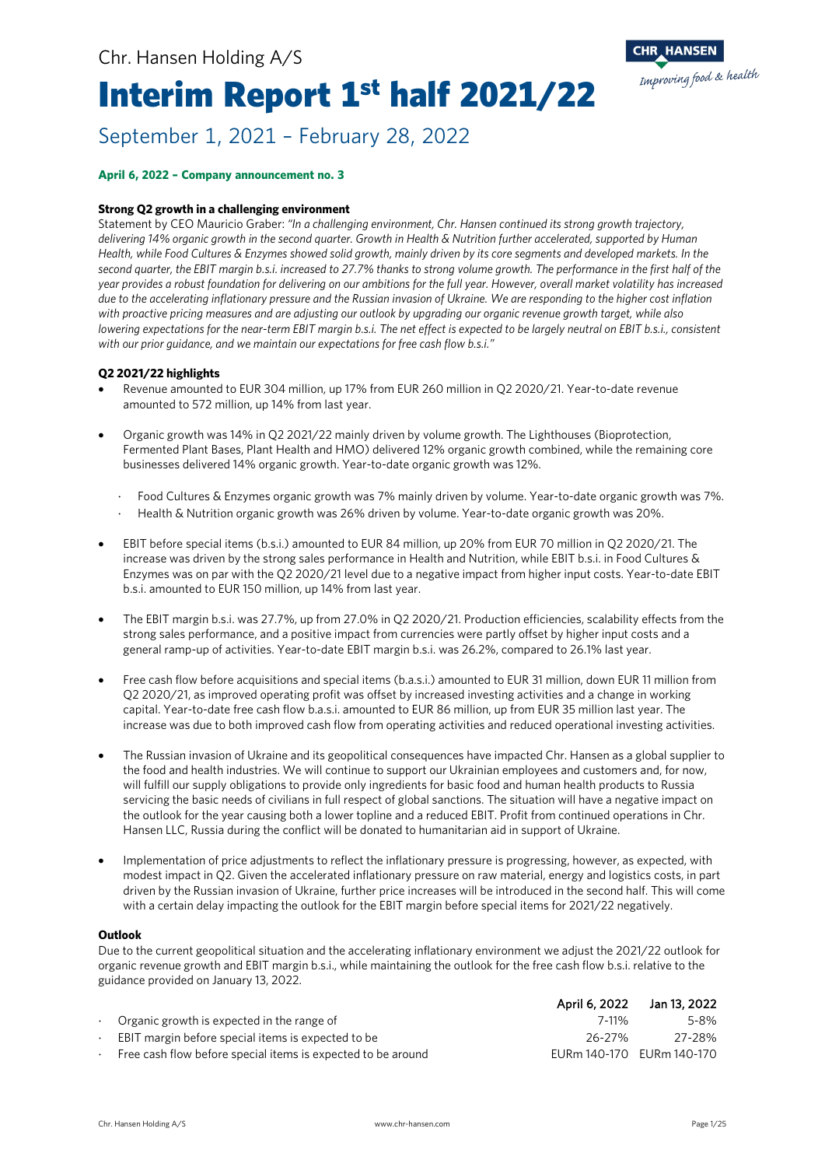# Interim Report 1<sup>st</sup> half 2021/22



#### **April 6, 2022 – Company announcement no. 3**

#### **Strong Q2 growth in a challenging environment**

Statement by CEO Mauricio Graber: *"In a challenging environment, Chr. Hansen continued its strong growth trajectory, delivering 14% organic growth in the second quarter. Growth in Health & Nutrition further accelerated, supported by Human Health, while Food Cultures & Enzymes showed solid growth, mainly driven by its core segments and developed markets. In the second quarter, the EBIT margin b.s.i. increased to 27.7% thanks to strong volume growth. The performance in the first half of the year provides a robust foundation for delivering on our ambitions for the full year. However, overall market volatility has increased due to the accelerating inflationary pressure and the Russian invasion of Ukraine. We are responding to the higher cost inflation with proactive pricing measures and are adjusting our outlook by upgrading our organic revenue growth target, while also lowering expectations for the near-term EBIT margin b.s.i. The net effect is expected to be largely neutral on EBIT b.s.i., consistent with our prior guidance, and we maintain our expectations for free cash flow b.s.i."*

#### **Q2 2021/22 highlights**

- Revenue amounted to EUR 304 million, up 17% from EUR 260 million in Q2 2020/21. Year-to-date revenue amounted to 572 million, up 14% from last year.
- Organic growth was 14% in Q2 2021/22 mainly driven by volume growth. The Lighthouses (Bioprotection, Fermented Plant Bases, Plant Health and HMO) delivered 12% organic growth combined, while the remaining core businesses delivered 14% organic growth. Year-to-date organic growth was 12%.
	- ⋅ Food Cultures & Enzymes organic growth was 7% mainly driven by volume. Year-to-date organic growth was 7%.
	- ⋅ Health & Nutrition organic growth was 26% driven by volume. Year-to-date organic growth was 20%.
- EBIT before special items (b.s.i.) amounted to EUR 84 million, up 20% from EUR 70 million in Q2 2020/21. The increase was driven by the strong sales performance in Health and Nutrition, while EBIT b.s.i. in Food Cultures & Enzymes was on par with the Q2 2020/21 level due to a negative impact from higher input costs. Year-to-date EBIT b.s.i. amounted to EUR 150 million, up 14% from last year.
- The EBIT margin b.s.i. was 27.7%, up from 27.0% in Q2 2020/21. Production efficiencies, scalability effects from the strong sales performance, and a positive impact from currencies were partly offset by higher input costs and a general ramp-up of activities. Year-to-date EBIT margin b.s.i. was 26.2%, compared to 26.1% last year.
- Free cash flow before acquisitions and special items (b.a.s.i.) amounted to EUR 31 million, down EUR 11 million from Q2 2020/21, as improved operating profit was offset by increased investing activities and a change in working capital. Year-to-date free cash flow b.a.s.i. amounted to EUR 86 million, up from EUR 35 million last year. The increase was due to both improved cash flow from operating activities and reduced operational investing activities.
- The Russian invasion of Ukraine and its geopolitical consequences have impacted Chr. Hansen as a global supplier to the food and health industries. We will continue to support our Ukrainian employees and customers and, for now, will fulfill our supply obligations to provide only ingredients for basic food and human health products to Russia servicing the basic needs of civilians in full respect of global sanctions. The situation will have a negative impact on the outlook for the year causing both a lower topline and a reduced EBIT. Profit from continued operations in Chr. Hansen LLC, Russia during the conflict will be donated to humanitarian aid in support of Ukraine.
- Implementation of price adjustments to reflect the inflationary pressure is progressing, however, as expected, with modest impact in Q2. Given the accelerated inflationary pressure on raw material, energy and logistics costs, in part driven by the Russian invasion of Ukraine, further price increases will be introduced in the second half. This will come with a certain delay impacting the outlook for the EBIT margin before special items for 2021/22 negatively.

#### **Outlook**

Due to the current geopolitical situation and the accelerating inflationary environment we adjust the 2021/22 outlook for organic revenue growth and EBIT margin b.s.i., while maintaining the outlook for the free cash flow b.s.i. relative to the guidance provided on January 13, 2022.

|                                                              |         | April 6, 2022 Jan 13, 2022 |
|--------------------------------------------------------------|---------|----------------------------|
| $\cdot$ Organic growth is expected in the range of           | $7-11%$ | 5-8%                       |
| $\cdot$ EBIT margin before special items is expected to be   | 26-27%  | 27-28%                     |
| Free cash flow before special items is expected to be around |         | EURm 140-170 EURm 140-170  |

Improving food & health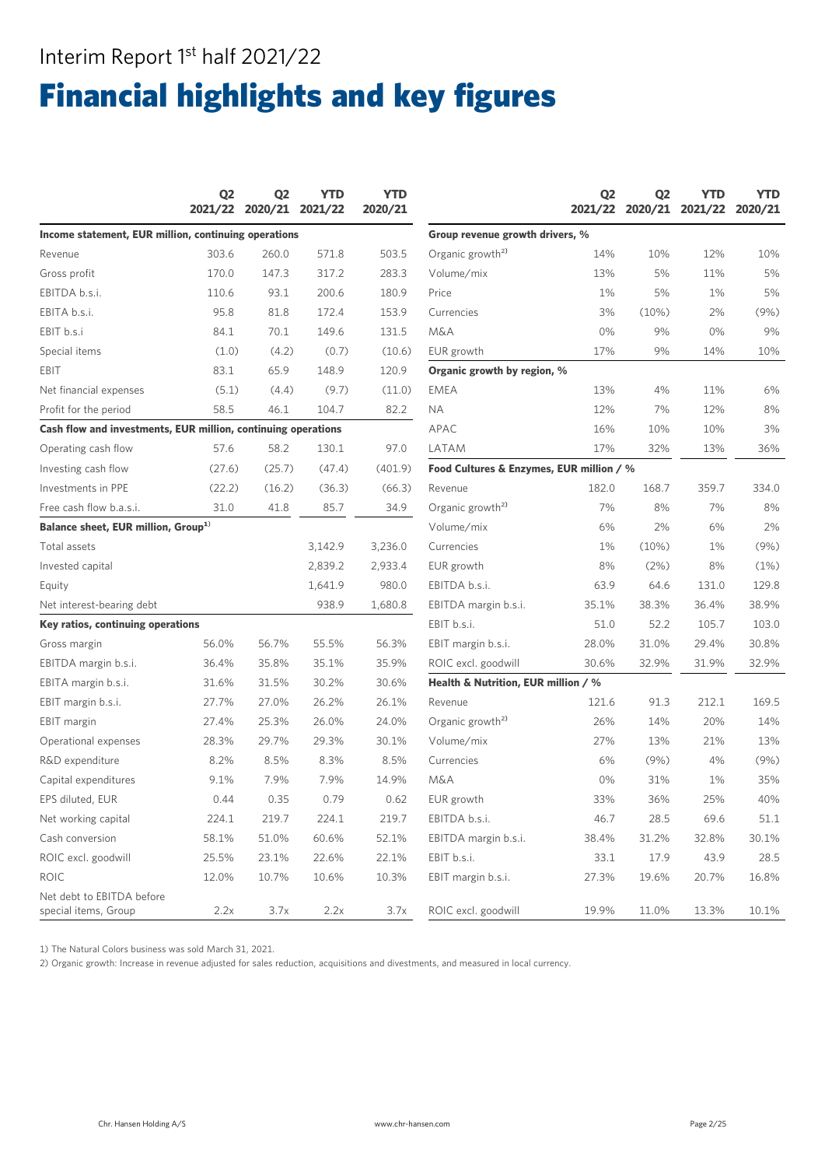### Interim Report 1<sup>st</sup> half 2021/22

# Financial highlights and key figures

|                                                               | Q <sub>2</sub> | Q <sub>2</sub><br>2021/22 2020/21 | <b>YTD</b><br>2021/22 | <b>YTD</b><br>2020/21 |                                          | Q <sub>2</sub><br>2021/22 | Q <sub>2</sub><br>2020/21 | <b>YTD</b><br>2021/22 | <b>YTD</b><br>2020/21 |
|---------------------------------------------------------------|----------------|-----------------------------------|-----------------------|-----------------------|------------------------------------------|---------------------------|---------------------------|-----------------------|-----------------------|
| Income statement, EUR million, continuing operations          |                |                                   |                       |                       | Group revenue growth drivers, %          |                           |                           |                       |                       |
| Revenue                                                       | 303.6          | 260.0                             | 571.8                 | 503.5                 | Organic growth <sup>2)</sup>             | 14%                       | 10%                       | 12%                   | 10%                   |
| Gross profit                                                  | 170.0          | 147.3                             | 317.2                 | 283.3                 | Volume/mix                               | 13%                       | 5%                        | 11%                   | 5%                    |
| EBITDA b.s.i.                                                 | 110.6          | 93.1                              | 200.6                 | 180.9                 | Price                                    | 1%                        | 5%                        | 1%                    | 5%                    |
| EBITA b.s.i.                                                  | 95.8           | 81.8                              | 172.4                 | 153.9                 | Currencies                               | 3%                        | (10%)                     | 2%                    | (9%)                  |
| EBIT b.s.i                                                    | 84.1           | 70.1                              | 149.6                 | 131.5                 | <b>M&amp;A</b>                           | 0%                        | 9%                        | 0%                    | 9%                    |
| Special items                                                 | (1.0)          | (4.2)                             | (0.7)                 | (10.6)                | EUR growth                               | 17%                       | 9%                        | 14%                   | 10%                   |
| EBIT                                                          | 83.1           | 65.9                              | 148.9                 | 120.9                 | Organic growth by region, %              |                           |                           |                       |                       |
| Net financial expenses                                        | (5.1)          | (4.4)                             | (9.7)                 | (11.0)                | EMEA                                     | 13%                       | 4%                        | 11%                   | 6%                    |
| Profit for the period                                         | 58.5           | 46.1                              | 104.7                 | 82.2                  | <b>NA</b>                                | 12%                       | 7%                        | 12%                   | 8%                    |
| Cash flow and investments, EUR million, continuing operations |                |                                   |                       |                       | APAC                                     | 16%                       | 10%                       | 10%                   | 3%                    |
| Operating cash flow                                           | 57.6           | 58.2                              | 130.1                 | 97.0                  | LATAM                                    | 17%                       | 32%                       | 13%                   | 36%                   |
| Investing cash flow                                           | (27.6)         | (25.7)                            | (47.4)                | (401.9)               | Food Cultures & Enzymes, EUR million / % |                           |                           |                       |                       |
| Investments in PPE                                            | (22.2)         | (16.2)                            | (36.3)                | (66.3)                | Revenue                                  | 182.0                     | 168.7                     | 359.7                 | 334.0                 |
| Free cash flow b.a.s.i.                                       | 31.0           | 41.8                              | 85.7                  | 34.9                  | Organic growth <sup>2)</sup>             | 7%                        | 8%                        | 7%                    | 8%                    |
| Balance sheet, EUR million, Group <sup>1)</sup>               |                |                                   |                       | Volume/mix            | 6%                                       | 2%                        | 6%                        | 2%                    |                       |
| Total assets                                                  |                |                                   | 3,142.9               | 3,236.0               | Currencies                               | 1%                        | (10%)                     | 1%                    | (9%)                  |
| Invested capital                                              |                |                                   | 2,839.2               | 2,933.4               | EUR growth                               | 8%                        | (2%)                      | 8%                    | (1%)                  |
| Equity                                                        |                |                                   | 1,641.9               | 980.0                 | EBITDA b.s.i.                            | 63.9                      | 64.6                      | 131.0                 | 129.8                 |
| Net interest-bearing debt                                     |                |                                   | 938.9                 | 1,680.8               | EBITDA margin b.s.i.                     | 35.1%                     | 38.3%                     | 36.4%                 | 38.9%                 |
| Key ratios, continuing operations                             |                |                                   |                       |                       | EBIT b.s.i.                              | 51.0                      | 52.2                      | 105.7                 | 103.0                 |
| Gross margin                                                  | 56.0%          | 56.7%                             | 55.5%                 | 56.3%                 | EBIT margin b.s.i.                       | 28.0%                     | 31.0%                     | 29.4%                 | 30.8%                 |
| EBITDA margin b.s.i.                                          | 36.4%          | 35.8%                             | 35.1%                 | 35.9%                 | ROIC excl. goodwill                      | 30.6%                     | 32.9%                     | 31.9%                 | 32.9%                 |
| EBITA margin b.s.i.                                           | 31.6%          | 31.5%                             | 30.2%                 | 30.6%                 | Health & Nutrition, EUR million / %      |                           |                           |                       |                       |
| EBIT margin b.s.i.                                            | 27.7%          | 27.0%                             | 26.2%                 | 26.1%                 | Revenue                                  | 121.6                     | 91.3                      | 212.1                 | 169.5                 |
| <b>EBIT</b> margin                                            | 27.4%          | 25.3%                             | 26.0%                 | 24.0%                 | Organic growth <sup>2)</sup>             | 26%                       | 14%                       | 20%                   | 14%                   |
| Operational expenses                                          | 28.3%          | 29.7%                             | 29.3%                 | 30.1%                 | Volume/mix                               | 27%                       | 13%                       | 21%                   | 13%                   |
| R&D expenditure                                               | 8.2%           | 8.5%                              | 8.3%                  | 8.5%                  | Currencies                               | 6%                        | (9%)                      | 4%                    | (9% )                 |
| Capital expenditures                                          | 9.1%           | 7.9%                              | 7.9%                  | 14.9%                 | <b>M&amp;A</b>                           | 0%                        | 31%                       | 1%                    | 35%                   |
| EPS diluted, EUR                                              | 0.44           | 0.35                              | 0.79                  | 0.62                  | EUR growth                               | 33%                       | 36%                       | 25%                   | 40%                   |
| Net working capital                                           | 224.1          | 219.7                             | 224.1                 | 219.7                 | EBITDA b.s.i.                            | 46.7                      | 28.5                      | 69.6                  | 51.1                  |
| Cash conversion                                               | 58.1%          | 51.0%                             | 60.6%                 | 52.1%                 | EBITDA margin b.s.i.                     | 38.4%                     | 31.2%                     | 32.8%                 | 30.1%                 |
| ROIC excl. goodwill                                           | 25.5%          | 23.1%                             | 22.6%                 | 22.1%                 | EBIT b.s.i.                              | 33.1                      | 17.9                      | 43.9                  | 28.5                  |
| <b>ROIC</b>                                                   | 12.0%          | 10.7%                             | 10.6%                 | 10.3%                 | EBIT margin b.s.i.                       | 27.3%                     | 19.6%                     | 20.7%                 | 16.8%                 |
| Net debt to EBITDA before<br>special items, Group             | 2.2x           | 3.7x                              | 2.2x                  | 3.7x                  | ROIC excl. goodwill                      | 19.9%                     | 11.0%                     | 13.3%                 | 10.1%                 |

1) The Natural Colors business was sold March 31, 2021.

2) Organic growth: Increase in revenue adjusted for sales reduction, acquisitions and divestments, and measured in local currency.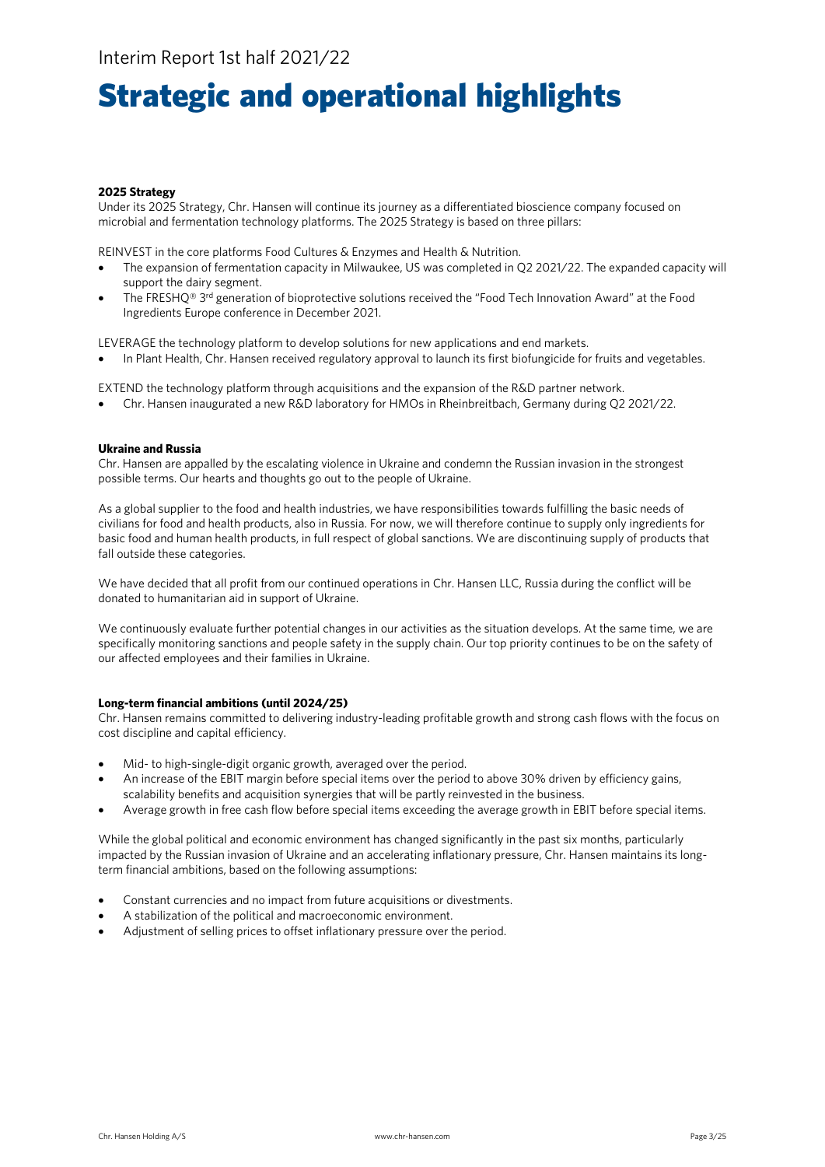## Strategic and operational highlights

#### **2025 Strategy**

Under its 2025 Strategy, Chr. Hansen will continue its journey as a differentiated bioscience company focused on microbial and fermentation technology platforms. The 2025 Strategy is based on three pillars:

REINVEST in the core platforms Food Cultures & Enzymes and Health & Nutrition.

- The expansion of fermentation capacity in Milwaukee, US was completed in Q2 2021/22. The expanded capacity will support the dairy segment.
- The FRESHO<sup>®</sup> 3<sup>rd</sup> generation of bioprotective solutions received the "Food Tech Innovation Award" at the Food Ingredients Europe conference in December 2021.

LEVERAGE the technology platform to develop solutions for new applications and end markets.

• In Plant Health, Chr. Hansen received regulatory approval to launch its first biofungicide for fruits and vegetables.

EXTEND the technology platform through acquisitions and the expansion of the R&D partner network.

• Chr. Hansen inaugurated a new R&D laboratory for HMOs in Rheinbreitbach, Germany during Q2 2021/22.

#### **Ukraine and Russia**

Chr. Hansen are appalled by the escalating violence in Ukraine and condemn the Russian invasion in the strongest possible terms. Our hearts and thoughts go out to the people of Ukraine.

As a global supplier to the food and health industries, we have responsibilities towards fulfilling the basic needs of civilians for food and health products, also in Russia. For now, we will therefore continue to supply only ingredients for basic food and human health products, in full respect of global sanctions. We are discontinuing supply of products that fall outside these categories.

We have decided that all profit from our continued operations in Chr. Hansen LLC, Russia during the conflict will be donated to humanitarian aid in support of Ukraine.

We continuously evaluate further potential changes in our activities as the situation develops. At the same time, we are specifically monitoring sanctions and people safety in the supply chain. Our top priority continues to be on the safety of our affected employees and their families in Ukraine.

#### **Long-term financial ambitions (until 2024/25)**

Chr. Hansen remains committed to delivering industry-leading profitable growth and strong cash flows with the focus on cost discipline and capital efficiency.

- Mid- to high-single-digit organic growth, averaged over the period.
- An increase of the EBIT margin before special items over the period to above 30% driven by efficiency gains, scalability benefits and acquisition synergies that will be partly reinvested in the business.
- Average growth in free cash flow before special items exceeding the average growth in EBIT before special items.

While the global political and economic environment has changed significantly in the past six months, particularly impacted by the Russian invasion of Ukraine and an accelerating inflationary pressure, Chr. Hansen maintains its longterm financial ambitions, based on the following assumptions:

- Constant currencies and no impact from future acquisitions or divestments.
- A stabilization of the political and macroeconomic environment.
- Adjustment of selling prices to offset inflationary pressure over the period.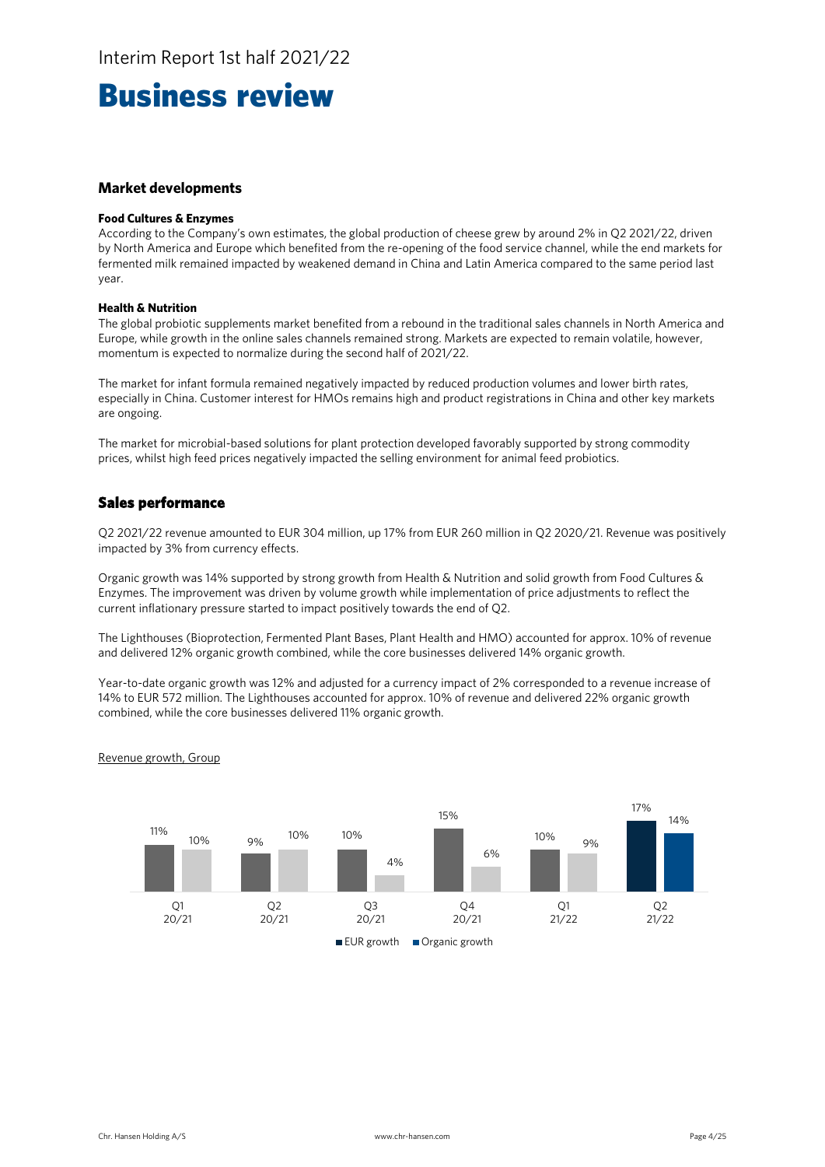### Business review

#### **Market developments**

#### **Food Cultures & Enzymes**

According to the Company's own estimates, the global production of cheese grew by around 2% in Q2 2021/22, driven by North America and Europe which benefited from the re-opening of the food service channel, while the end markets for fermented milk remained impacted by weakened demand in China and Latin America compared to the same period last year.

#### **Health & Nutrition**

The global probiotic supplements market benefited from a rebound in the traditional sales channels in North America and Europe, while growth in the online sales channels remained strong. Markets are expected to remain volatile, however, momentum is expected to normalize during the second half of 2021/22.

The market for infant formula remained negatively impacted by reduced production volumes and lower birth rates, especially in China. Customer interest for HMOs remains high and product registrations in China and other key markets are ongoing.

The market for microbial-based solutions for plant protection developed favorably supported by strong commodity prices, whilst high feed prices negatively impacted the selling environment for animal feed probiotics.

#### **Sales performance**

Q2 2021/22 revenue amounted to EUR 304 million, up 17% from EUR 260 million in Q2 2020/21. Revenue was positively impacted by 3% from currency effects.

Organic growth was 14% supported by strong growth from Health & Nutrition and solid growth from Food Cultures & Enzymes. The improvement was driven by volume growth while implementation of price adjustments to reflect the current inflationary pressure started to impact positively towards the end of Q2.

The Lighthouses (Bioprotection, Fermented Plant Bases, Plant Health and HMO) accounted for approx. 10% of revenue and delivered 12% organic growth combined, while the core businesses delivered 14% organic growth.

Year-to-date organic growth was 12% and adjusted for a currency impact of 2% corresponded to a revenue increase of 14% to EUR 572 million. The Lighthouses accounted for approx. 10% of revenue and delivered 22% organic growth combined, while the core businesses delivered 11% organic growth.

#### Revenue growth, Group

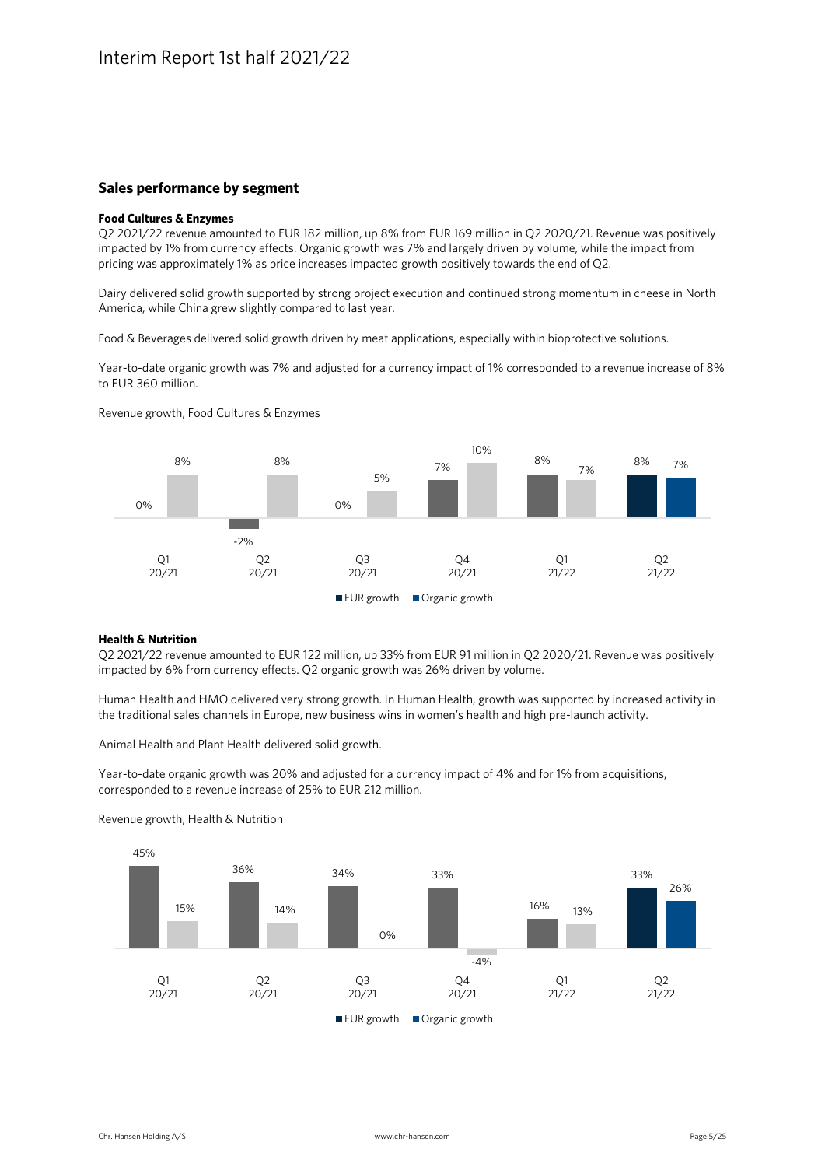#### **Sales performance by segment**

#### **Food Cultures & Enzymes**

Q2 2021/22 revenue amounted to EUR 182 million, up 8% from EUR 169 million in Q2 2020/21. Revenue was positively impacted by 1% from currency effects. Organic growth was 7% and largely driven by volume, while the impact from pricing was approximately 1% as price increases impacted growth positively towards the end of Q2.

Dairy delivered solid growth supported by strong project execution and continued strong momentum in cheese in North America, while China grew slightly compared to last year.

Food & Beverages delivered solid growth driven by meat applications, especially within bioprotective solutions.

Year-to-date organic growth was 7% and adjusted for a currency impact of 1% corresponded to a revenue increase of 8% to EUR 360 million.

#### Revenue growth, Food Cultures & Enzymes



#### **Health & Nutrition**

Q2 2021/22 revenue amounted to EUR 122 million, up 33% from EUR 91 million in Q2 2020/21. Revenue was positively impacted by 6% from currency effects. Q2 organic growth was 26% driven by volume.

Human Health and HMO delivered very strong growth. In Human Health, growth was supported by increased activity in the traditional sales channels in Europe, new business wins in women's health and high pre-launch activity.

Animal Health and Plant Health delivered solid growth.

Year-to-date organic growth was 20% and adjusted for a currency impact of 4% and for 1% from acquisitions, corresponded to a revenue increase of 25% to EUR 212 million.



#### Revenue growth, Health & Nutrition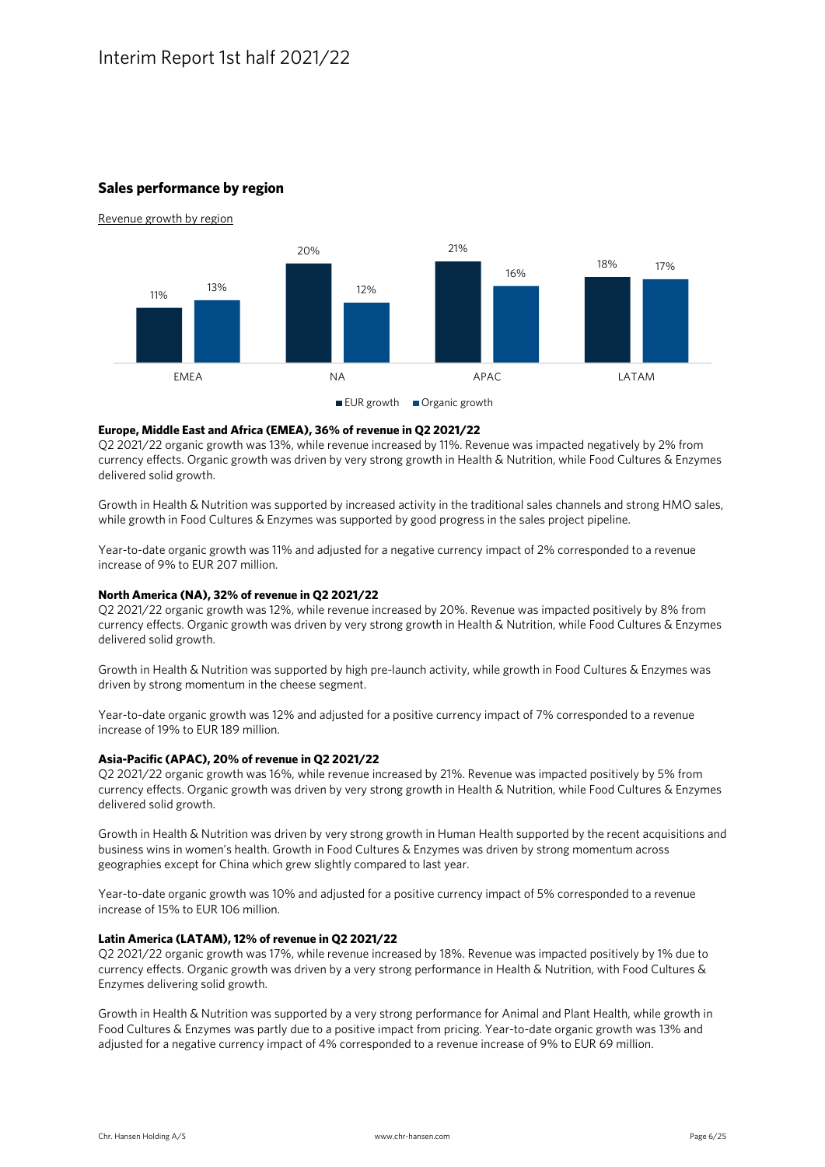#### **Sales performance by region**



#### **Europe, Middle East and Africa (EMEA), 36% of revenue in Q2 2021/22**

Q2 2021/22 organic growth was 13%, while revenue increased by 11%. Revenue was impacted negatively by 2% from currency effects. Organic growth was driven by very strong growth in Health & Nutrition, while Food Cultures & Enzymes delivered solid growth.

Growth in Health & Nutrition was supported by increased activity in the traditional sales channels and strong HMO sales, while growth in Food Cultures & Enzymes was supported by good progress in the sales project pipeline.

Year-to-date organic growth was 11% and adjusted for a negative currency impact of 2% corresponded to a revenue increase of 9% to EUR 207 million.

#### **North America (NA), 32% of revenue in Q2 2021/22**

Q2 2021/22 organic growth was 12%, while revenue increased by 20%. Revenue was impacted positively by 8% from currency effects. Organic growth was driven by very strong growth in Health & Nutrition, while Food Cultures & Enzymes delivered solid growth.

Growth in Health & Nutrition was supported by high pre-launch activity, while growth in Food Cultures & Enzymes was driven by strong momentum in the cheese segment.

Year-to-date organic growth was 12% and adjusted for a positive currency impact of 7% corresponded to a revenue increase of 19% to EUR 189 million.

#### **Asia-Pacific (APAC), 20% of revenue in Q2 2021/22**

Q2 2021/22 organic growth was 16%, while revenue increased by 21%. Revenue was impacted positively by 5% from currency effects. Organic growth was driven by very strong growth in Health & Nutrition, while Food Cultures & Enzymes delivered solid growth.

Growth in Health & Nutrition was driven by very strong growth in Human Health supported by the recent acquisitions and business wins in women's health. Growth in Food Cultures & Enzymes was driven by strong momentum across geographies except for China which grew slightly compared to last year.

Year-to-date organic growth was 10% and adjusted for a positive currency impact of 5% corresponded to a revenue increase of 15% to EUR 106 million.

#### **Latin America (LATAM), 12% of revenue in Q2 2021/22**

Q2 2021/22 organic growth was 17%, while revenue increased by 18%. Revenue was impacted positively by 1% due to currency effects. Organic growth was driven by a very strong performance in Health & Nutrition, with Food Cultures & Enzymes delivering solid growth.

Growth in Health & Nutrition was supported by a very strong performance for Animal and Plant Health, while growth in Food Cultures & Enzymes was partly due to a positive impact from pricing. Year-to-date organic growth was 13% and adjusted for a negative currency impact of 4% corresponded to a revenue increase of 9% to EUR 69 million.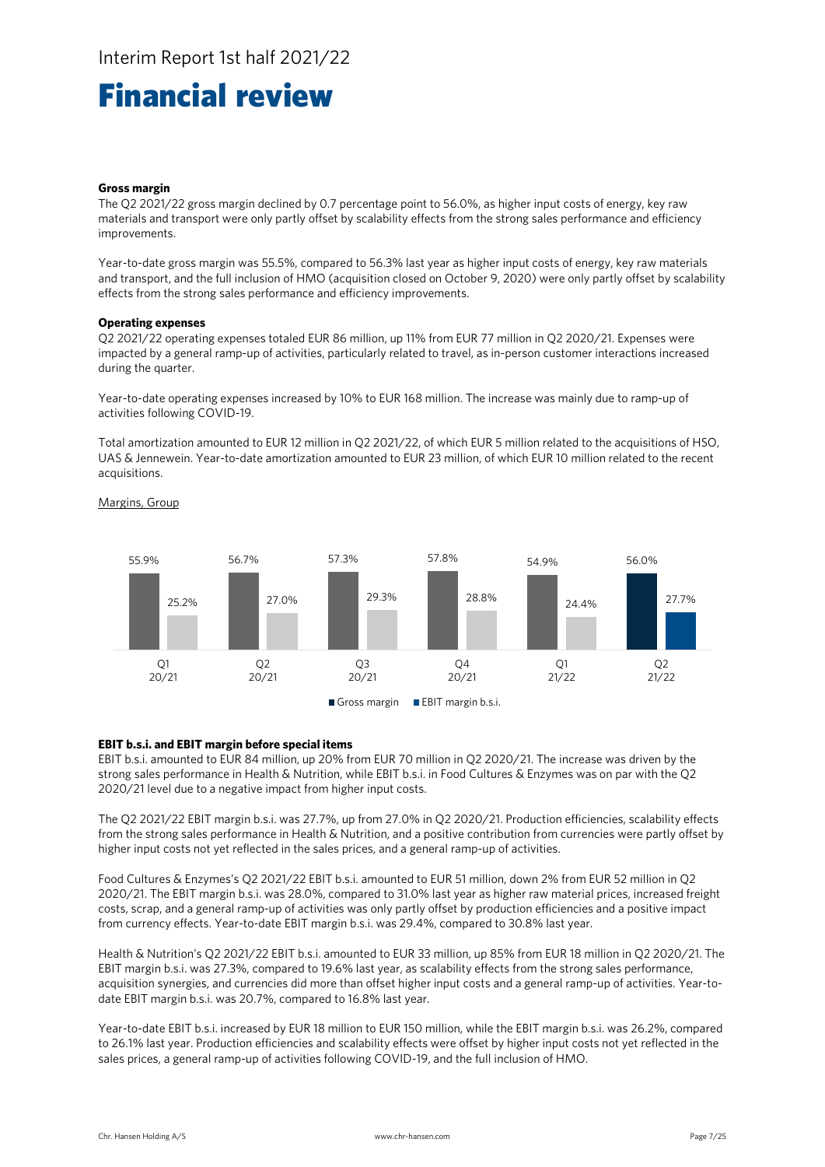### Financial review

#### **Gross margin**

The Q2 2021/22 gross margin declined by 0.7 percentage point to 56.0%, as higher input costs of energy, key raw materials and transport were only partly offset by scalability effects from the strong sales performance and efficiency improvements.

Year-to-date gross margin was 55.5%, compared to 56.3% last year as higher input costs of energy, key raw materials and transport, and the full inclusion of HMO (acquisition closed on October 9, 2020) were only partly offset by scalability effects from the strong sales performance and efficiency improvements.

#### **Operating expenses**

Q2 2021/22 operating expenses totaled EUR 86 million, up 11% from EUR 77 million in Q2 2020/21. Expenses were impacted by a general ramp-up of activities, particularly related to travel, as in-person customer interactions increased during the quarter.

Year-to-date operating expenses increased by 10% to EUR 168 million. The increase was mainly due to ramp-up of activities following COVID-19.

Total amortization amounted to EUR 12 million in Q2 2021/22, of which EUR 5 million related to the acquisitions of HSO, UAS & Jennewein. Year-to-date amortization amounted to EUR 23 million, of which EUR 10 million related to the recent acquisitions.



#### Margins, Group

#### **EBIT b.s.i. and EBIT margin before special items**

EBIT b.s.i. amounted to EUR 84 million, up 20% from EUR 70 million in Q2 2020/21. The increase was driven by the strong sales performance in Health & Nutrition, while EBIT b.s.i. in Food Cultures & Enzymes was on par with the Q2 2020/21 level due to a negative impact from higher input costs.

The Q2 2021/22 EBIT margin b.s.i. was 27.7%, up from 27.0% in Q2 2020/21. Production efficiencies, scalability effects from the strong sales performance in Health & Nutrition, and a positive contribution from currencies were partly offset by higher input costs not yet reflected in the sales prices, and a general ramp-up of activities.

Food Cultures & Enzymes's Q2 2021/22 EBIT b.s.i. amounted to EUR 51 million, down 2% from EUR 52 million in Q2 2020/21. The EBIT margin b.s.i. was 28.0%, compared to 31.0% last year as higher raw material prices, increased freight costs, scrap, and a general ramp-up of activities was only partly offset by production efficiencies and a positive impact from currency effects. Year-to-date EBIT margin b.s.i. was 29.4%, compared to 30.8% last year.

Health & Nutrition's Q2 2021/22 EBIT b.s.i. amounted to EUR 33 million, up 85% from EUR 18 million in Q2 2020/21. The EBIT margin b.s.i. was 27.3%, compared to 19.6% last year, as scalability effects from the strong sales performance, acquisition synergies, and currencies did more than offset higher input costs and a general ramp-up of activities. Year-todate EBIT margin b.s.i. was 20.7%, compared to 16.8% last year.

Year-to-date EBIT b.s.i. increased by EUR 18 million to EUR 150 million, while the EBIT margin b.s.i. was 26.2%, compared to 26.1% last year. Production efficiencies and scalability effects were offset by higher input costs not yet reflected in the sales prices, a general ramp-up of activities following COVID-19, and the full inclusion of HMO.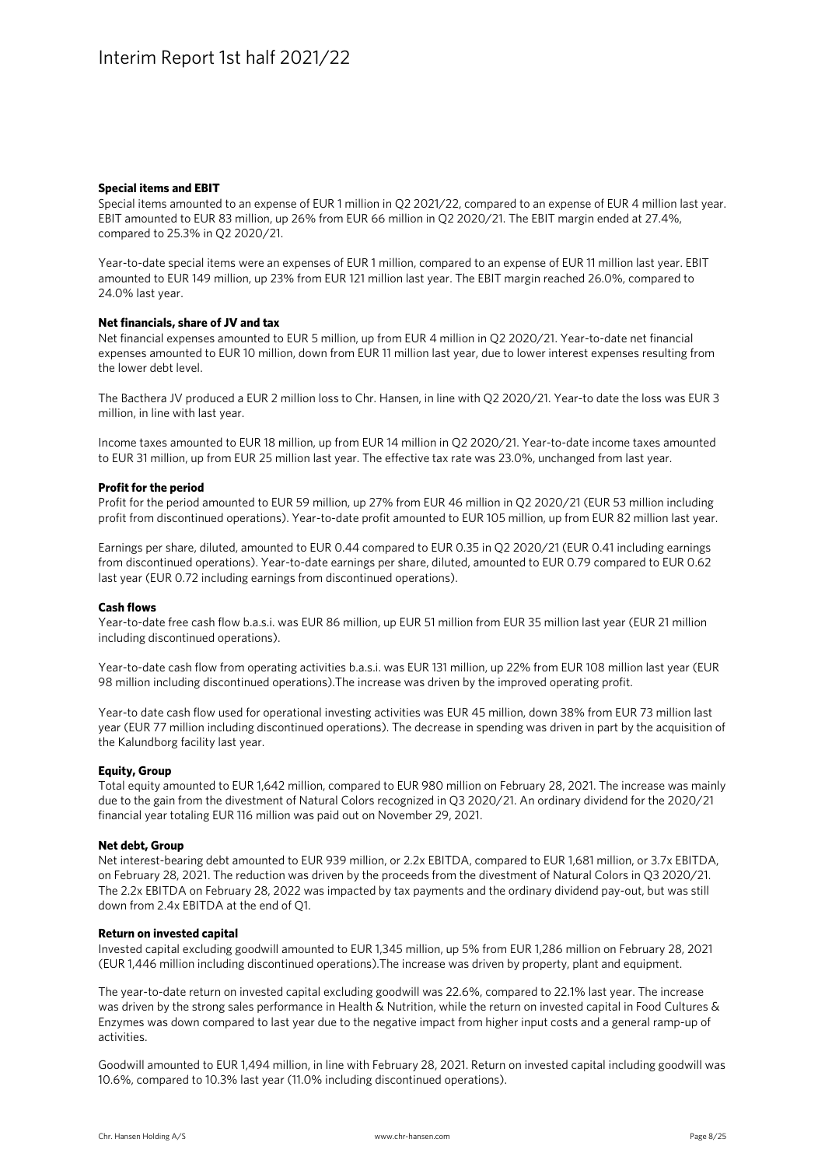#### **Special items and EBIT**

Special items amounted to an expense of EUR 1 million in Q2 2021/22, compared to an expense of EUR 4 million last year. EBIT amounted to EUR 83 million, up 26% from EUR 66 million in Q2 2020/21. The EBIT margin ended at 27.4%, compared to 25.3% in Q2 2020/21.

Year-to-date special items were an expenses of EUR 1 million, compared to an expense of EUR 11 million last year. EBIT amounted to EUR 149 million, up 23% from EUR 121 million last year. The EBIT margin reached 26.0%, compared to 24.0% last year.

#### **Net financials, share of JV and tax**

Net financial expenses amounted to EUR 5 million, up from EUR 4 million in Q2 2020/21. Year-to-date net financial expenses amounted to EUR 10 million, down from EUR 11 million last year, due to lower interest expenses resulting from the lower debt level.

The Bacthera JV produced a EUR 2 million loss to Chr. Hansen, in line with Q2 2020/21. Year-to date the loss was EUR 3 million, in line with last year.

Income taxes amounted to EUR 18 million, up from EUR 14 million in Q2 2020/21. Year-to-date income taxes amounted to EUR 31 million, up from EUR 25 million last year. The effective tax rate was 23.0%, unchanged from last year.

#### **Profit for the period**

Profit for the period amounted to EUR 59 million, up 27% from EUR 46 million in Q2 2020/21 (EUR 53 million including profit from discontinued operations). Year-to-date profit amounted to EUR 105 million, up from EUR 82 million last year.

Earnings per share, diluted, amounted to EUR 0.44 compared to EUR 0.35 in Q2 2020/21 (EUR 0.41 including earnings from discontinued operations). Year-to-date earnings per share, diluted, amounted to EUR 0.79 compared to EUR 0.62 last year (EUR 0.72 including earnings from discontinued operations).

#### **Cash flows**

Year-to-date free cash flow b.a.s.i. was EUR 86 million, up EUR 51 million from EUR 35 million last year (EUR 21 million including discontinued operations).

Year-to-date cash flow from operating activities b.a.s.i. was EUR 131 million, up 22% from EUR 108 million last year (EUR 98 million including discontinued operations).The increase was driven by the improved operating profit.

Year-to date cash flow used for operational investing activities was EUR 45 million, down 38% from EUR 73 million last year (EUR 77 million including discontinued operations). The decrease in spending was driven in part by the acquisition of the Kalundborg facility last year.

#### **Equity, Group**

Total equity amounted to EUR 1,642 million, compared to EUR 980 million on February 28, 2021. The increase was mainly due to the gain from the divestment of Natural Colors recognized in Q3 2020/21. An ordinary dividend for the 2020/21 financial year totaling EUR 116 million was paid out on November 29, 2021.

#### **Net debt, Group**

Net interest-bearing debt amounted to EUR 939 million, or 2.2x EBITDA, compared to EUR 1,681 million, or 3.7x EBITDA, on February 28, 2021. The reduction was driven by the proceeds from the divestment of Natural Colors in Q3 2020/21. The 2.2x EBITDA on February 28, 2022 was impacted by tax payments and the ordinary dividend pay-out, but was still down from 2.4x EBITDA at the end of Q1.

#### **Return on invested capital**

Invested capital excluding goodwill amounted to EUR 1,345 million, up 5% from EUR 1,286 million on February 28, 2021 (EUR 1,446 million including discontinued operations).The increase was driven by property, plant and equipment.

The year-to-date return on invested capital excluding goodwill was 22.6%, compared to 22.1% last year. The increase was driven by the strong sales performance in Health & Nutrition, while the return on invested capital in Food Cultures & Enzymes was down compared to last year due to the negative impact from higher input costs and a general ramp-up of activities.

Goodwill amounted to EUR 1,494 million, in line with February 28, 2021. Return on invested capital including goodwill was 10.6%, compared to 10.3% last year (11.0% including discontinued operations).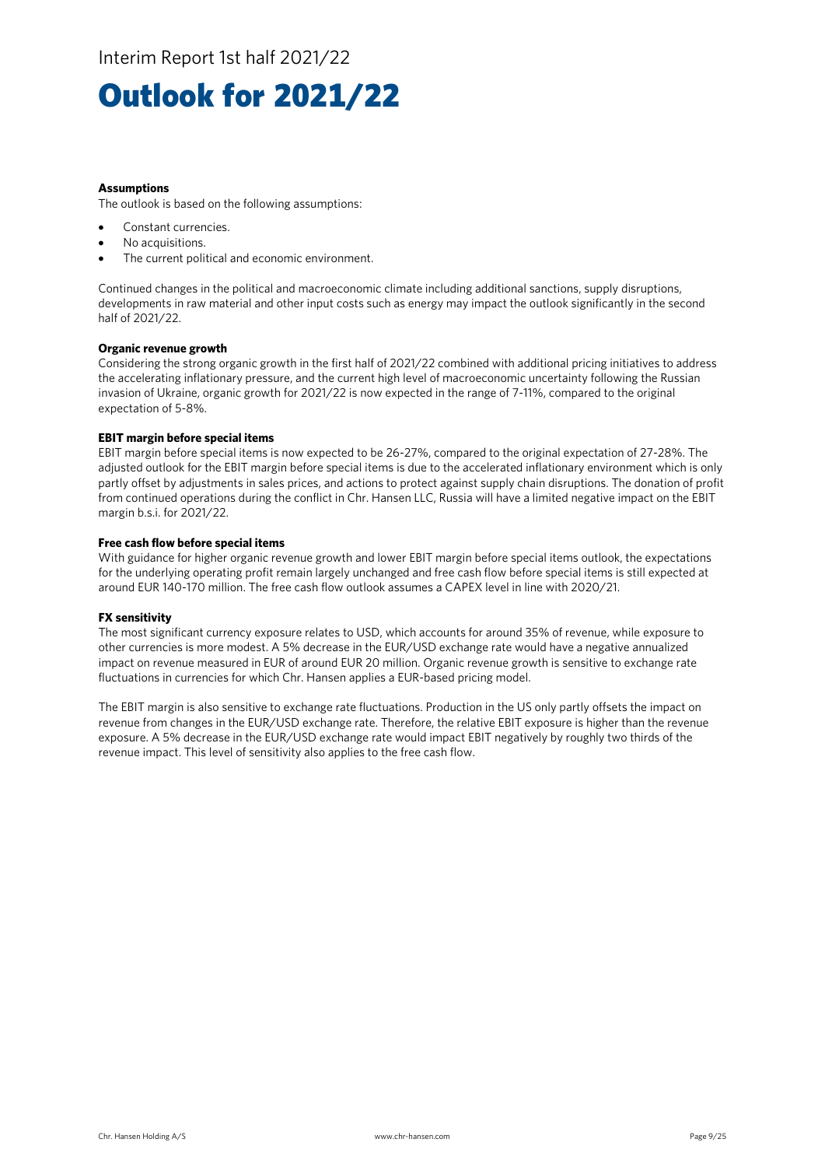## Outlook for 2021/22

#### **Assumptions**

The outlook is based on the following assumptions:

- Constant currencies.
- No acquisitions.
- The current political and economic environment.

Continued changes in the political and macroeconomic climate including additional sanctions, supply disruptions, developments in raw material and other input costs such as energy may impact the outlook significantly in the second half of 2021/22.

#### **Organic revenue growth**

Considering the strong organic growth in the first half of 2021/22 combined with additional pricing initiatives to address the accelerating inflationary pressure, and the current high level of macroeconomic uncertainty following the Russian invasion of Ukraine, organic growth for 2021/22 is now expected in the range of 7-11%, compared to the original expectation of 5-8%.

#### **EBIT margin before special items**

EBIT margin before special items is now expected to be 26-27%, compared to the original expectation of 27-28%. The adjusted outlook for the EBIT margin before special items is due to the accelerated inflationary environment which is only partly offset by adjustments in sales prices, and actions to protect against supply chain disruptions. The donation of profit from continued operations during the conflict in Chr. Hansen LLC, Russia will have a limited negative impact on the EBIT margin b.s.i. for 2021/22.

#### **Free cash flow before special items**

With guidance for higher organic revenue growth and lower EBIT margin before special items outlook, the expectations for the underlying operating profit remain largely unchanged and free cash flow before special items is still expected at around EUR 140-170 million. The free cash flow outlook assumes a CAPEX level in line with 2020/21.

#### **FX sensitivity**

The most significant currency exposure relates to USD, which accounts for around 35% of revenue, while exposure to other currencies is more modest. A 5% decrease in the EUR/USD exchange rate would have a negative annualized impact on revenue measured in EUR of around EUR 20 million. Organic revenue growth is sensitive to exchange rate fluctuations in currencies for which Chr. Hansen applies a EUR-based pricing model.

The EBIT margin is also sensitive to exchange rate fluctuations. Production in the US only partly offsets the impact on revenue from changes in the EUR/USD exchange rate. Therefore, the relative EBIT exposure is higher than the revenue exposure. A 5% decrease in the EUR/USD exchange rate would impact EBIT negatively by roughly two thirds of the revenue impact. This level of sensitivity also applies to the free cash flow.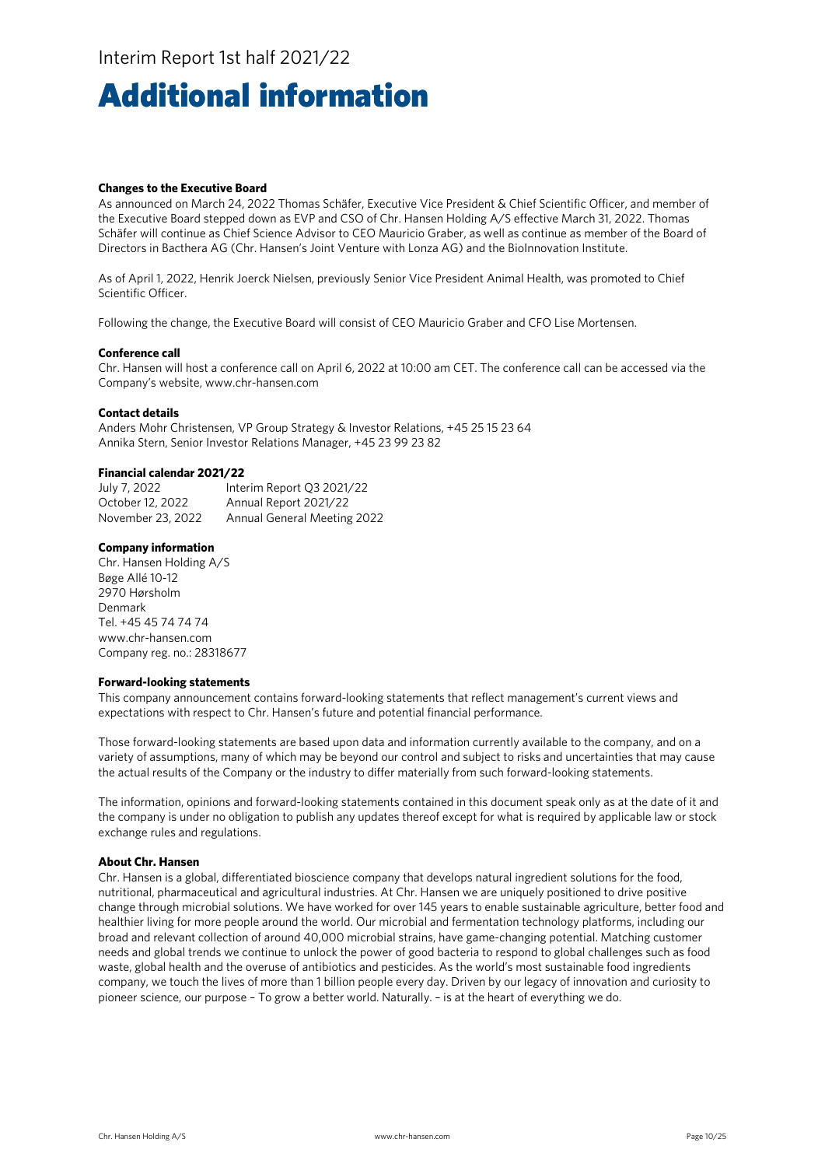## Additional information

#### **Changes to the Executive Board**

As announced on March 24, 2022 Thomas Schäfer, Executive Vice President & Chief Scientific Officer, and member of the Executive Board stepped down as EVP and CSO of Chr. Hansen Holding A/S effective March 31, 2022. Thomas Schäfer will continue as Chief Science Advisor to CEO Mauricio Graber, as well as continue as member of the Board of Directors in Bacthera AG (Chr. Hansen's Joint Venture with Lonza AG) and the BioInnovation Institute.

As of April 1, 2022, Henrik Joerck Nielsen, previously Senior Vice President Animal Health, was promoted to Chief Scientific Officer.

Following the change, the Executive Board will consist of CEO Mauricio Graber and CFO Lise Mortensen.

#### **Conference call**

Chr. Hansen will host a conference call on April 6, 2022 at 10:00 am CET. The conference call can be accessed via the Company's website, www.chr-hansen.com

#### **Contact details**

Anders Mohr Christensen, VP Group Strategy & Investor Relations, +45 25 15 23 64 Annika Stern, Senior Investor Relations Manager, +45 23 99 23 82

#### **Financial calendar 2021/22**

| July 7, 2022      | Interim Report Q3 2021/22   |
|-------------------|-----------------------------|
| October 12, 2022  | Annual Report 2021/22       |
| November 23, 2022 | Annual General Meeting 2022 |

#### **Company information**

Chr. Hansen Holding A/S Bøge Allé 10-12 2970 Hørsholm Denmark Tel. +45 45 74 74 74 www.chr-hansen.com Company reg. no.: 28318677

#### **Forward-looking statements**

This company announcement contains forward-looking statements that reflect management's current views and expectations with respect to Chr. Hansen's future and potential financial performance.

Those forward-looking statements are based upon data and information currently available to the company, and on a variety of assumptions, many of which may be beyond our control and subject to risks and uncertainties that may cause the actual results of the Company or the industry to differ materially from such forward-looking statements.

The information, opinions and forward-looking statements contained in this document speak only as at the date of it and the company is under no obligation to publish any updates thereof except for what is required by applicable law or stock exchange rules and regulations.

#### **About Chr. Hansen**

Chr. Hansen is a global, differentiated bioscience company that develops natural ingredient solutions for the food, nutritional, pharmaceutical and agricultural industries. At Chr. Hansen we are uniquely positioned to drive positive change through microbial solutions. We have worked for over 145 years to enable sustainable agriculture, better food and healthier living for more people around the world. Our microbial and fermentation technology platforms, including our broad and relevant collection of around 40,000 microbial strains, have game-changing potential. Matching customer needs and global trends we continue to unlock the power of good bacteria to respond to global challenges such as food waste, global health and the overuse of antibiotics and pesticides. As the world's most sustainable food ingredients company, we touch the lives of more than 1 billion people every day. Driven by our legacy of innovation and curiosity to pioneer science, our purpose – To grow a better world. Naturally. – is at the heart of everything we do.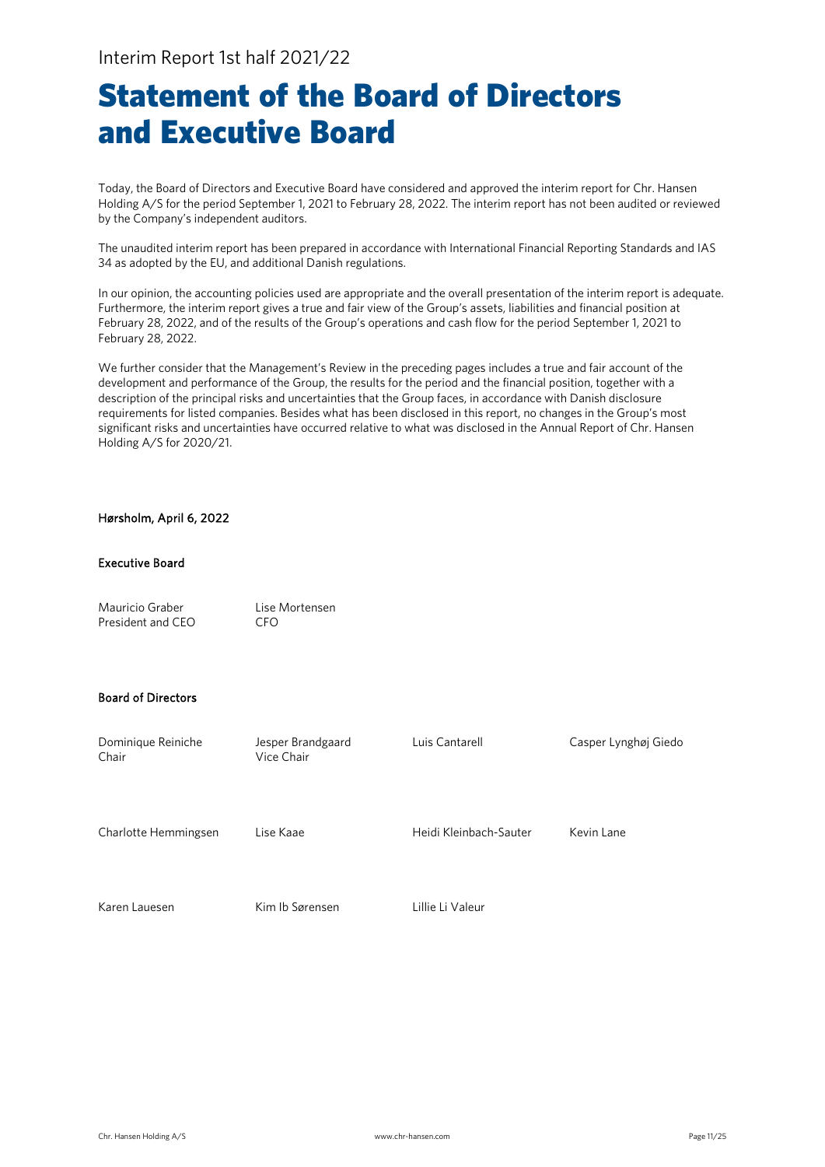## Statement of the Board of Directors and Executive Board

Today, the Board of Directors and Executive Board have considered and approved the interim report for Chr. Hansen Holding A/S for the period September 1, 2021 to February 28, 2022. The interim report has not been audited or reviewed by the Company's independent auditors.

The unaudited interim report has been prepared in accordance with International Financial Reporting Standards and IAS 34 as adopted by the EU, and additional Danish regulations.

In our opinion, the accounting policies used are appropriate and the overall presentation of the interim report is adequate. Furthermore, the interim report gives a true and fair view of the Group's assets, liabilities and financial position at February 28, 2022, and of the results of the Group's operations and cash flow for the period September 1, 2021 to February 28, 2022.

We further consider that the Management's Review in the preceding pages includes a true and fair account of the development and performance of the Group, the results for the period and the financial position, together with a description of the principal risks and uncertainties that the Group faces, in accordance with Danish disclosure requirements for listed companies. Besides what has been disclosed in this report, no changes in the Group's most significant risks and uncertainties have occurred relative to what was disclosed in the Annual Report of Chr. Hansen Holding A/S for 2020/21.

#### Hørsholm, April 6, 2022

#### Executive Board

| Mauricio Graber   | Lise Mortensen |
|-------------------|----------------|
| President and CEO | CFO.           |

#### Board of Directors

| Dominique Reiniche<br>Chair | Jesper Brandgaard<br>Vice Chair | Luis Cantarell         | Casper Lynghøj Giedo |
|-----------------------------|---------------------------------|------------------------|----------------------|
| Charlotte Hemmingsen        | Lise Kaae                       | Heidi Kleinbach-Sauter | Kevin Lane           |
| Karen Lauesen               | Kim Ib Sørensen                 | Lillie Li Valeur       |                      |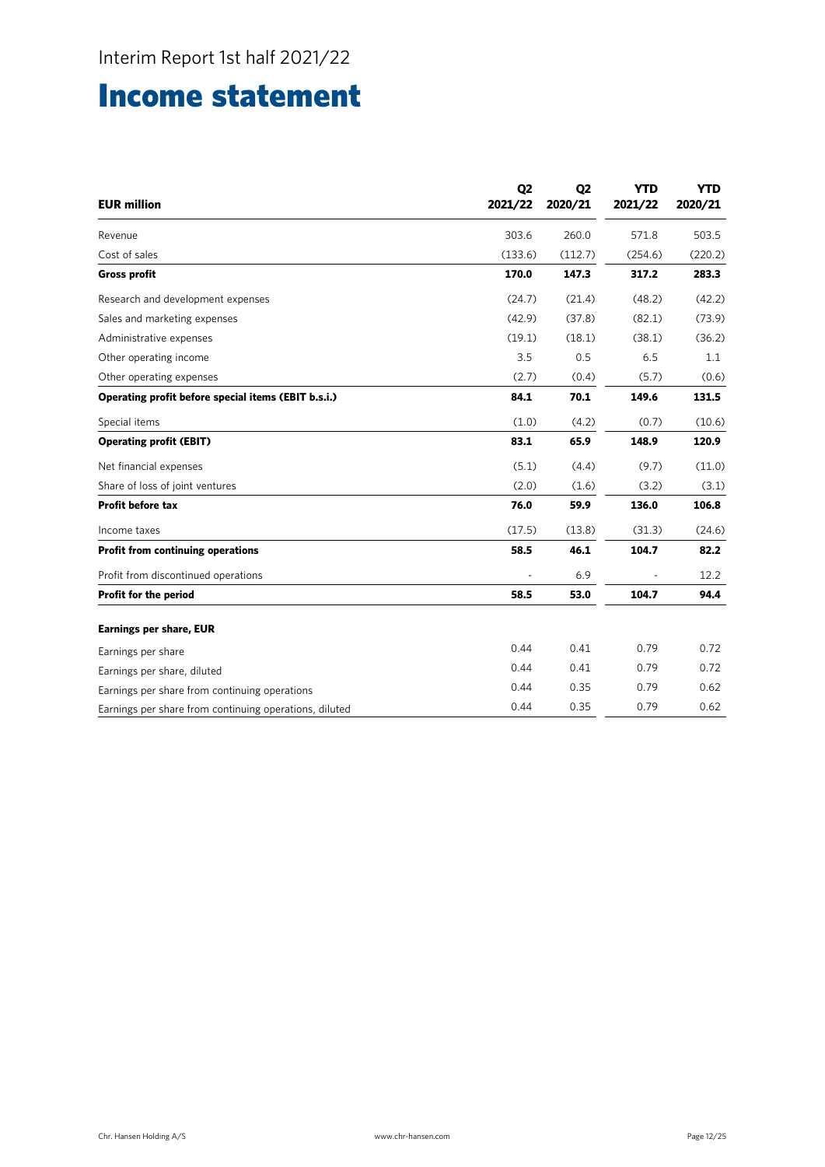## Income statement

| <b>EUR million</b>                                     | Q <sub>2</sub><br>2021/22 | Q <sub>2</sub><br>2020/21 | <b>YTD</b><br>2021/22 | <b>YTD</b><br>2020/21 |
|--------------------------------------------------------|---------------------------|---------------------------|-----------------------|-----------------------|
| Revenue                                                | 303.6                     | 260.0                     | 571.8                 | 503.5                 |
| Cost of sales                                          | (133.6)                   | (112.7)                   | (254.6)               | (220.2)               |
| <b>Gross profit</b>                                    | 170.0                     | 147.3                     | 317.2                 | 283.3                 |
| Research and development expenses                      | (24.7)                    | (21.4)                    | (48.2)                | (42.2)                |
| Sales and marketing expenses                           | (42.9)                    | (37.8)                    | (82.1)                | (73.9)                |
| Administrative expenses                                | (19.1)                    | (18.1)                    | (38.1)                | (36.2)                |
| Other operating income                                 | 3.5                       | 0.5                       | 6.5                   | 1.1                   |
| Other operating expenses                               | (2.7)                     | (0.4)                     | (5.7)                 | (0.6)                 |
| Operating profit before special items (EBIT b.s.i.)    | 84.1                      | 70.1                      | 149.6                 | 131.5                 |
| Special items                                          | (1.0)                     | (4.2)                     | (0.7)                 | (10.6)                |
| <b>Operating profit (EBIT)</b>                         | 83.1                      | 65.9                      | 148.9                 | 120.9                 |
| Net financial expenses                                 | (5.1)                     | (4.4)                     | (9.7)                 | (11.0)                |
| Share of loss of joint ventures                        | (2.0)                     | (1.6)                     | (3.2)                 | (3.1)                 |
| Profit before tax                                      | 76.0                      | 59.9                      | 136.0                 | 106.8                 |
| Income taxes                                           | (17.5)                    | (13.8)                    | (31.3)                | (24.6)                |
| <b>Profit from continuing operations</b>               | 58.5                      | 46.1                      | 104.7                 | 82.2                  |
| Profit from discontinued operations                    |                           | 6.9                       |                       | 12.2                  |
| Profit for the period                                  | 58.5                      | 53.0                      | 104.7                 | 94.4                  |
| <b>Earnings per share, EUR</b>                         |                           |                           |                       |                       |
| Earnings per share                                     | 0.44                      | 0.41                      | 0.79                  | 0.72                  |
| Earnings per share, diluted                            | 0.44                      | 0.41                      | 0.79                  | 0.72                  |
| Earnings per share from continuing operations          | 0.44                      | 0.35                      | 0.79                  | 0.62                  |
| Earnings per share from continuing operations, diluted | 0.44                      | 0.35                      | 0.79                  | 0.62                  |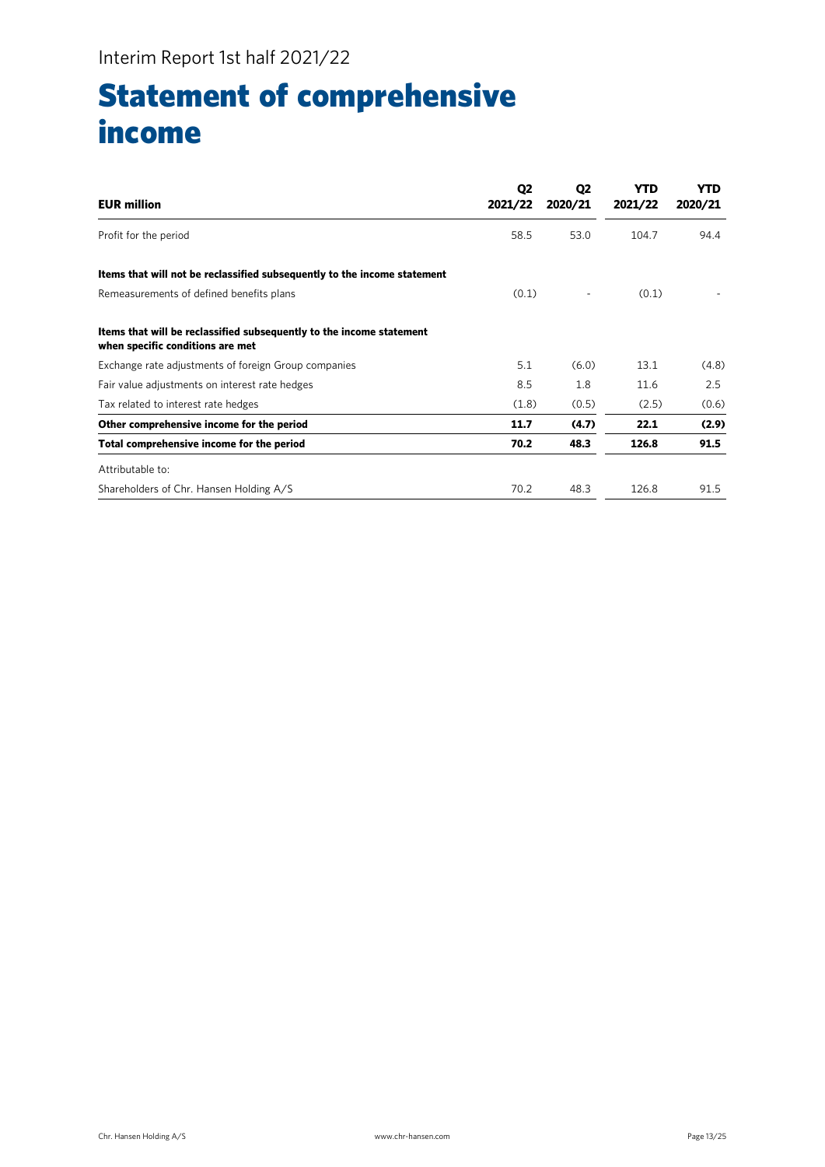## Statement of comprehensive income

| <b>EUR million</b>                                                                                       | Q <sub>2</sub><br>2021/22 | Q <sub>2</sub><br>2020/21 | YTD<br>2021/22 | <b>YTD</b><br>2020/21 |
|----------------------------------------------------------------------------------------------------------|---------------------------|---------------------------|----------------|-----------------------|
| Profit for the period                                                                                    | 58.5                      | 53.0                      | 104.7          | 94.4                  |
| Items that will not be reclassified subsequently to the income statement                                 |                           |                           |                |                       |
| Remeasurements of defined benefits plans                                                                 | (0.1)                     |                           | (0.1)          |                       |
| Items that will be reclassified subsequently to the income statement<br>when specific conditions are met |                           |                           |                |                       |
| Exchange rate adjustments of foreign Group companies                                                     | 5.1                       | (6.0)                     | 13.1           | (4.8)                 |
| Fair value adjustments on interest rate hedges                                                           | 8.5                       | 1.8                       | 11.6           | 2.5                   |
| Tax related to interest rate hedges                                                                      | (1.8)                     | (0.5)                     | (2.5)          | (0.6)                 |
| Other comprehensive income for the period                                                                | 11.7                      | (4.7)                     | 22.1           | (2.9)                 |
| Total comprehensive income for the period                                                                | 70.2                      | 48.3                      | 126.8          | 91.5                  |
| Attributable to:                                                                                         |                           |                           |                |                       |
| Shareholders of Chr. Hansen Holding A/S                                                                  | 70.2                      | 48.3                      | 126.8          | 91.5                  |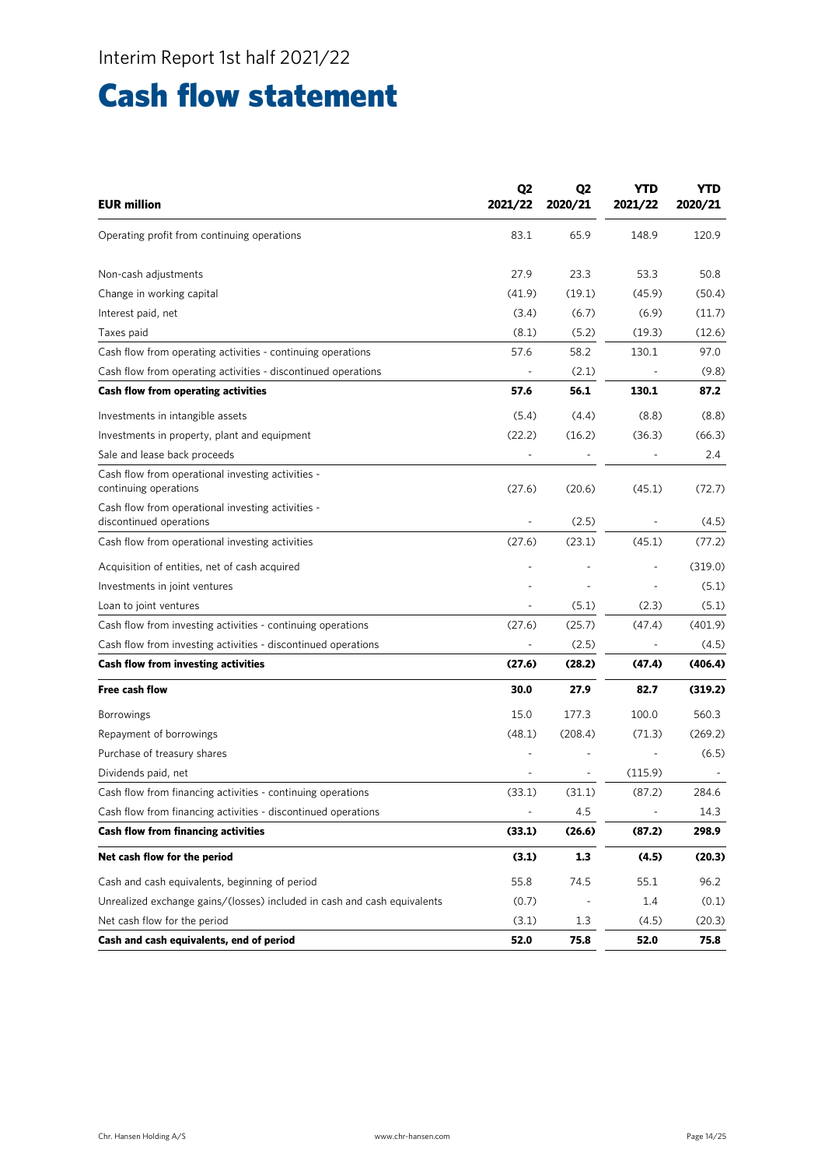## Cash flow statement

| <b>EUR million</b>                                                           | Q <sub>2</sub><br>2021/22 | Q <sub>2</sub><br>2020/21 | YTD<br>2021/22           | YTD<br>2020/21 |
|------------------------------------------------------------------------------|---------------------------|---------------------------|--------------------------|----------------|
| Operating profit from continuing operations                                  | 83.1                      | 65.9                      | 148.9                    | 120.9          |
| Non-cash adjustments                                                         | 27.9                      | 23.3                      | 53.3                     | 50.8           |
| Change in working capital                                                    | (41.9)                    | (19.1)                    | (45.9)                   | (50.4)         |
| Interest paid, net                                                           | (3.4)                     | (6.7)                     | (6.9)                    | (11.7)         |
| Taxes paid                                                                   | (8.1)                     | (5.2)                     | (19.3)                   | (12.6)         |
| Cash flow from operating activities - continuing operations                  | 57.6                      | 58.2                      | 130.1                    | 97.0           |
| Cash flow from operating activities - discontinued operations                |                           | (2.1)                     |                          | (9.8)          |
| Cash flow from operating activities                                          | 57.6                      | 56.1                      | 130.1                    | 87.2           |
| Investments in intangible assets                                             | (5.4)                     | (4.4)                     | (8.8)                    | (8.8)          |
| Investments in property, plant and equipment                                 | (22.2)                    | (16.2)                    | (36.3)                   | (66.3)         |
| Sale and lease back proceeds                                                 |                           |                           |                          | 2.4            |
| Cash flow from operational investing activities -<br>continuing operations   | (27.6)                    | (20.6)                    | (45.1)                   | (72.7)         |
| Cash flow from operational investing activities -<br>discontinued operations |                           | (2.5)                     | ÷,                       | (4.5)          |
| Cash flow from operational investing activities                              | (27.6)                    | (23.1)                    | (45.1)                   | (77.2)         |
| Acquisition of entities, net of cash acquired                                |                           |                           |                          | (319.0)        |
| Investments in joint ventures                                                |                           |                           |                          | (5.1)          |
| Loan to joint ventures                                                       |                           | (5.1)                     | (2.3)                    | (5.1)          |
| Cash flow from investing activities - continuing operations                  | (27.6)                    | (25.7)                    | (47.4)                   | (401.9)        |
| Cash flow from investing activities - discontinued operations                |                           | (2.5)                     | $\overline{a}$           | (4.5)          |
| <b>Cash flow from investing activities</b>                                   | (27.6)                    | (28.2)                    | (47.4)                   | (406.4)        |
| <b>Free cash flow</b>                                                        | 30.0                      | 27.9                      | 82.7                     | (319.2)        |
| <b>Borrowings</b>                                                            | 15.0                      | 177.3                     | 100.0                    | 560.3          |
| Repayment of borrowings                                                      | (48.1)                    | (208.4)                   | (71.3)                   | (269.2)        |
| Purchase of treasury shares                                                  |                           |                           |                          | (6.5)          |
| Dividends paid, net                                                          |                           |                           | (115.9)                  |                |
| Cash flow from financing activities - continuing operations                  | (33.1)                    | (31.1)                    | (87.2)                   | 284.6          |
| Cash flow from financing activities - discontinued operations                | $\overline{\phantom{a}}$  | 4.5                       | $\overline{\phantom{a}}$ | 14.3           |
| <b>Cash flow from financing activities</b>                                   | (33.1)                    | (26.6)                    | (87.2)                   | 298.9          |
| Net cash flow for the period                                                 | (3.1)                     | 1.3                       | (4.5)                    | (20.3)         |
| Cash and cash equivalents, beginning of period                               | 55.8                      | 74.5                      | 55.1                     | 96.2           |
| Unrealized exchange gains/(losses) included in cash and cash equivalents     | (0.7)                     |                           | 1.4                      | (0.1)          |
| Net cash flow for the period                                                 | (3.1)                     | 1.3                       | (4.5)                    | (20.3)         |
| Cash and cash equivalents, end of period                                     | 52.0                      | 75.8                      | 52.0                     | 75.8           |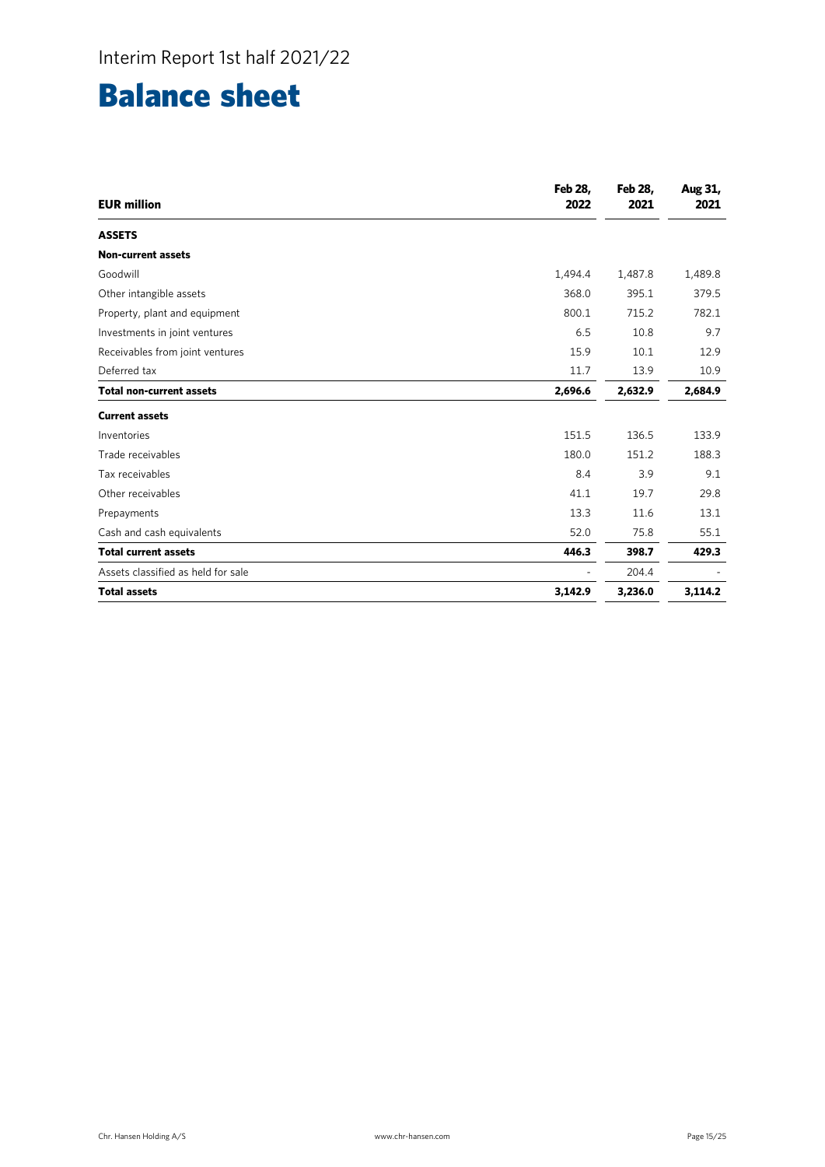# Balance sheet

| <b>EUR million</b>                 | <b>Feb 28.</b><br>2022 | <b>Feb 28.</b><br>2021 | Aug 31,<br>2021 |
|------------------------------------|------------------------|------------------------|-----------------|
| <b>ASSETS</b>                      |                        |                        |                 |
| <b>Non-current assets</b>          |                        |                        |                 |
| Goodwill                           | 1,494.4                | 1,487.8                | 1,489.8         |
| Other intangible assets            | 368.0                  | 395.1                  | 379.5           |
| Property, plant and equipment      | 800.1                  | 715.2                  | 782.1           |
| Investments in joint ventures      | 6.5                    | 10.8                   | 9.7             |
| Receivables from joint ventures    | 15.9                   | 10.1                   | 12.9            |
| Deferred tax                       | 11.7                   | 13.9                   | 10.9            |
| <b>Total non-current assets</b>    | 2,696.6                | 2,632.9                | 2,684.9         |
| <b>Current assets</b>              |                        |                        |                 |
| Inventories                        | 151.5                  | 136.5                  | 133.9           |
| Trade receivables                  | 180.0                  | 151.2                  | 188.3           |
| Tax receivables                    | 8.4                    | 3.9                    | 9.1             |
| Other receivables                  | 41.1                   | 19.7                   | 29.8            |
| Prepayments                        | 13.3                   | 11.6                   | 13.1            |
| Cash and cash equivalents          | 52.0                   | 75.8                   | 55.1            |
| <b>Total current assets</b>        | 446.3                  | 398.7                  | 429.3           |
| Assets classified as held for sale |                        | 204.4                  |                 |
| <b>Total assets</b>                | 3,142.9                | 3,236.0                | 3,114.2         |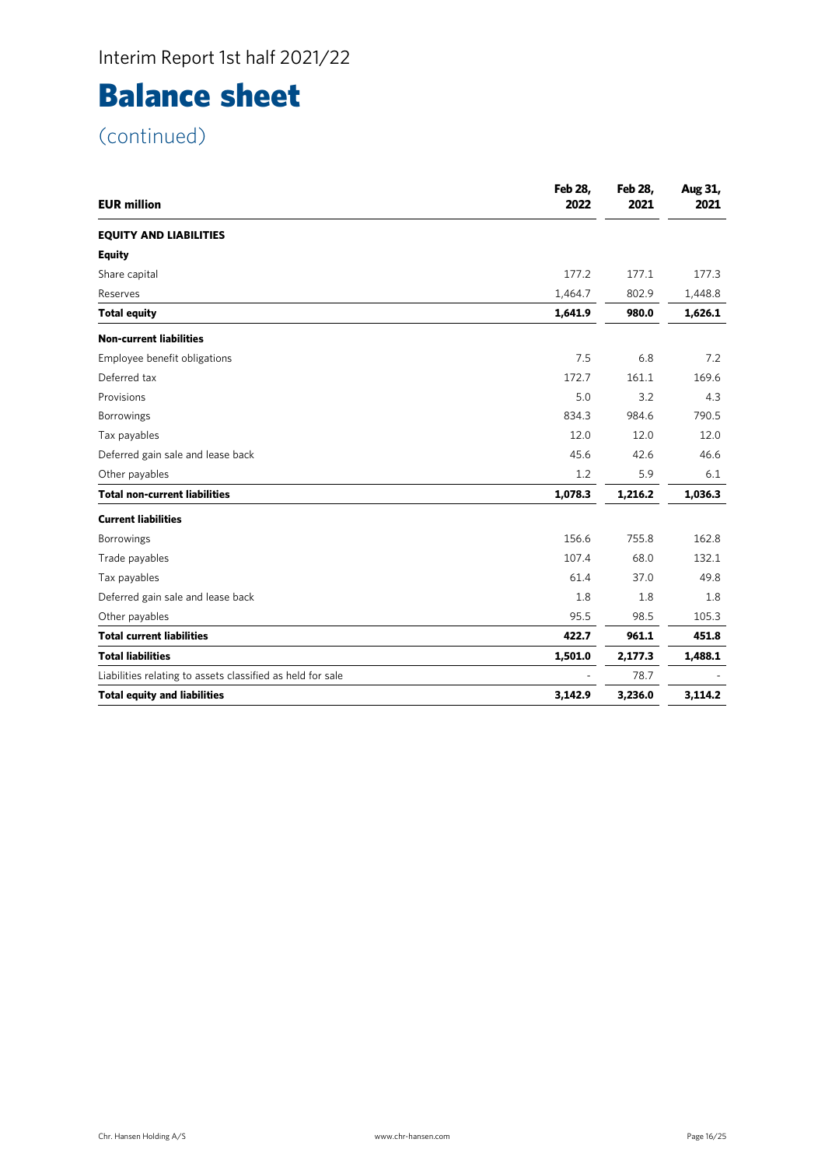# Balance sheet

| <b>EUR million</b>                                         | <b>Feb 28,</b><br>2022 | <b>Feb 28,</b><br>2021 | Aug 31,<br>2021 |
|------------------------------------------------------------|------------------------|------------------------|-----------------|
| <b>EQUITY AND LIABILITIES</b>                              |                        |                        |                 |
| <b>Equity</b>                                              |                        |                        |                 |
| Share capital                                              | 177.2                  | 177.1                  | 177.3           |
| Reserves                                                   | 1,464.7                | 802.9                  | 1,448.8         |
| <b>Total equity</b>                                        | 1,641.9                | 980.0                  | 1,626.1         |
| <b>Non-current liabilities</b>                             |                        |                        |                 |
| Employee benefit obligations                               | 7.5                    | 6.8                    | 7.2             |
| Deferred tax                                               | 172.7                  | 161.1                  | 169.6           |
| Provisions                                                 | 5.0                    | 3.2                    | 4.3             |
| Borrowings                                                 | 834.3                  | 984.6                  | 790.5           |
| Tax payables                                               | 12.0                   | 12.0                   | 12.0            |
| Deferred gain sale and lease back                          | 45.6                   | 42.6                   | 46.6            |
| Other payables                                             | 1.2                    | 5.9                    | 6.1             |
| <b>Total non-current liabilities</b>                       | 1,078.3                | 1,216.2                | 1,036.3         |
| <b>Current liabilities</b>                                 |                        |                        |                 |
| <b>Borrowings</b>                                          | 156.6                  | 755.8                  | 162.8           |
| Trade payables                                             | 107.4                  | 68.0                   | 132.1           |
| Tax payables                                               | 61.4                   | 37.0                   | 49.8            |
| Deferred gain sale and lease back                          | 1.8                    | 1.8                    | 1.8             |
| Other payables                                             | 95.5                   | 98.5                   | 105.3           |
| <b>Total current liabilities</b>                           | 422.7                  | 961.1                  | 451.8           |
| <b>Total liabilities</b>                                   | 1,501.0                | 2,177.3                | 1,488.1         |
| Liabilities relating to assets classified as held for sale |                        | 78.7                   |                 |
| <b>Total equity and liabilities</b>                        | 3,142.9                | 3,236.0                | 3,114.2         |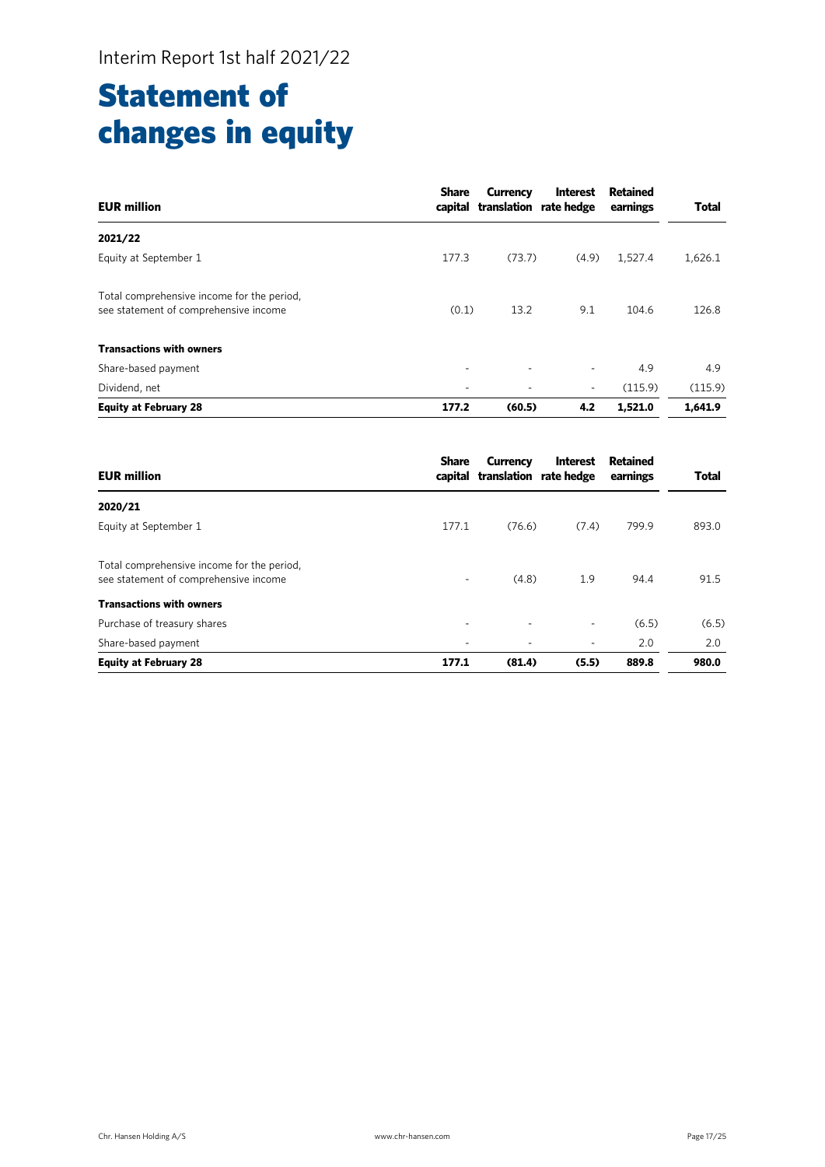## Statement of changes in equity

| <b>EUR million</b>                                                                  | <b>Share</b>             | <b>Currency</b><br>capital translation rate hedge | <b>Interest</b>          | <b>Retained</b><br>earnings | <b>Total</b> |
|-------------------------------------------------------------------------------------|--------------------------|---------------------------------------------------|--------------------------|-----------------------------|--------------|
| 2021/22                                                                             |                          |                                                   |                          |                             |              |
| Equity at September 1                                                               | 177.3                    | (73.7)                                            | (4.9)                    | 1,527.4                     | 1,626.1      |
| Total comprehensive income for the period,<br>see statement of comprehensive income | (0.1)                    | 13.2                                              | 9.1                      | 104.6                       | 126.8        |
| <b>Transactions with owners</b>                                                     |                          |                                                   |                          |                             |              |
| Share-based payment                                                                 | ٠                        | ٠                                                 | $\overline{\phantom{a}}$ | 4.9                         | 4.9          |
| Dividend, net                                                                       | $\overline{\phantom{a}}$ | ٠                                                 | $\overline{\phantom{a}}$ | (115.9)                     | (115.9)      |
| <b>Equity at February 28</b>                                                        | 177.2                    | (60.5)                                            | 4.2                      | 1,521.0                     | 1,641.9      |

| <b>EUR million</b>                                                                  | <b>Share</b> | Currency<br>capital translation rate hedge | <b>Interest</b>          | Retained<br>earnings | <b>Total</b> |
|-------------------------------------------------------------------------------------|--------------|--------------------------------------------|--------------------------|----------------------|--------------|
| 2020/21                                                                             |              |                                            |                          |                      |              |
| Equity at September 1                                                               | 177.1        | (76.6)                                     | (7.4)                    | 799.9                | 893.0        |
| Total comprehensive income for the period,<br>see statement of comprehensive income | ٠            | (4.8)                                      | 1.9                      | 94.4                 | 91.5         |
| <b>Transactions with owners</b>                                                     |              |                                            |                          |                      |              |
| Purchase of treasury shares                                                         | ۰            | ٠                                          | $\overline{\phantom{a}}$ | (6.5)                | (6.5)        |
| Share-based payment                                                                 |              |                                            | ٠                        | 2.0                  | 2.0          |
| <b>Equity at February 28</b>                                                        | 177.1        | (81.4)                                     | (5.5)                    | 889.8                | 980.0        |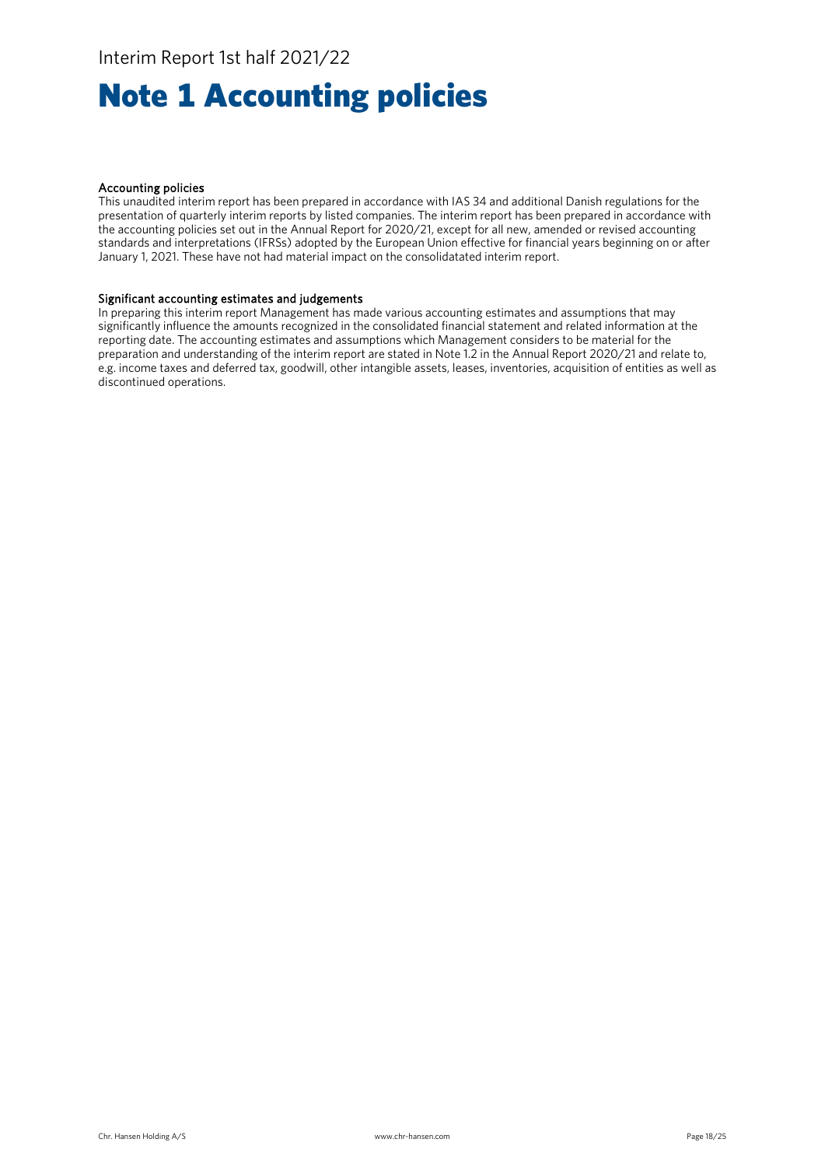# Note 1 Accounting policies

#### Accounting policies

This unaudited interim report has been prepared in accordance with IAS 34 and additional Danish regulations for the presentation of quarterly interim reports by listed companies. The interim report has been prepared in accordance with the accounting policies set out in the Annual Report for 2020/21, except for all new, amended or revised accounting standards and interpretations (IFRSs) adopted by the European Union effective for financial years beginning on or after January 1, 2021. These have not had material impact on the consolidatated interim report.

#### Significant accounting estimates and judgements

In preparing this interim report Management has made various accounting estimates and assumptions that may significantly influence the amounts recognized in the consolidated financial statement and related information at the reporting date. The accounting estimates and assumptions which Management considers to be material for the preparation and understanding of the interim report are stated in Note 1.2 in the Annual Report 2020/21 and relate to, e.g. income taxes and deferred tax, goodwill, other intangible assets, leases, inventories, acquisition of entities as well as discontinued operations.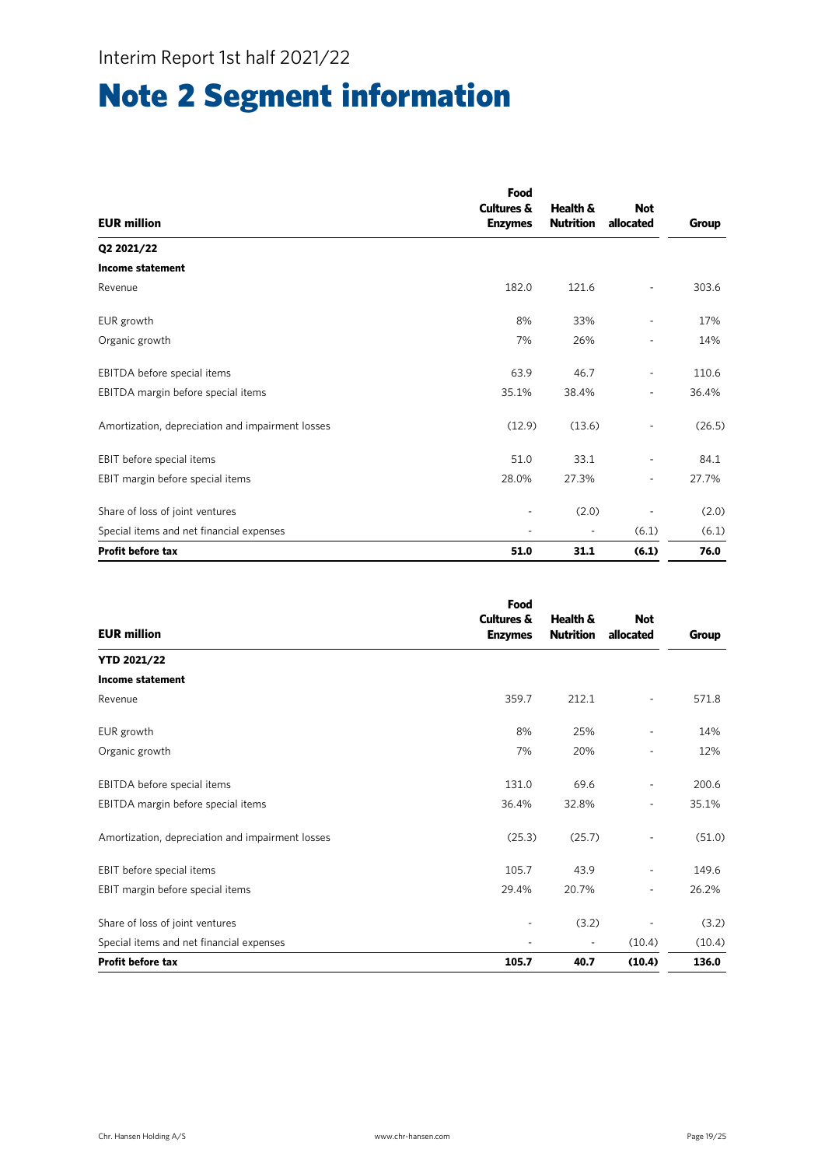# Note 2 Segment information

|                                                  | Food           |                          |                          |        |
|--------------------------------------------------|----------------|--------------------------|--------------------------|--------|
|                                                  | Cultures &     | Health &                 | <b>Not</b>               |        |
| <b>EUR million</b>                               | <b>Enzymes</b> | <b>Nutrition</b>         | allocated                | Group  |
| Q2 2021/22                                       |                |                          |                          |        |
| <b>Income statement</b>                          |                |                          |                          |        |
| Revenue                                          | 182.0          | 121.6                    |                          | 303.6  |
| EUR growth                                       | 8%             | 33%                      |                          | 17%    |
| Organic growth                                   | 7%             | 26%                      |                          | 14%    |
| EBITDA before special items                      | 63.9           | 46.7                     |                          | 110.6  |
| EBITDA margin before special items               | 35.1%          | 38.4%                    | $\overline{\phantom{a}}$ | 36.4%  |
| Amortization, depreciation and impairment losses | (12.9)         | (13.6)                   |                          | (26.5) |
| EBIT before special items                        | 51.0           | 33.1                     |                          | 84.1   |
| EBIT margin before special items                 | 28.0%          | 27.3%                    | $\overline{\phantom{a}}$ | 27.7%  |
| Share of loss of joint ventures                  | ٠              | (2.0)                    |                          | (2.0)  |
| Special items and net financial expenses         |                | $\overline{\phantom{a}}$ | (6.1)                    | (6.1)  |
| <b>Profit before tax</b>                         | 51.0           | 31.1                     | (6.1)                    | 76.0   |

|                                                  | Food                     |                  |                          |        |
|--------------------------------------------------|--------------------------|------------------|--------------------------|--------|
|                                                  | <b>Cultures &amp;</b>    | Health &         | <b>Not</b>               |        |
| <b>EUR million</b>                               | <b>Enzymes</b>           | <b>Nutrition</b> | allocated                | Group  |
| <b>YTD 2021/22</b>                               |                          |                  |                          |        |
| <b>Income statement</b>                          |                          |                  |                          |        |
| Revenue                                          | 359.7                    | 212.1            | $\overline{\phantom{0}}$ | 571.8  |
| EUR growth                                       | 8%                       | 25%              | ٠                        | 14%    |
| Organic growth                                   | 7%                       | 20%              | ۰                        | 12%    |
| EBITDA before special items                      | 131.0                    | 69.6             | ٠                        | 200.6  |
| EBITDA margin before special items               | 36.4%                    | 32.8%            | ٠                        | 35.1%  |
| Amortization, depreciation and impairment losses | (25.3)                   | (25.7)           | ٠                        | (51.0) |
| EBIT before special items                        | 105.7                    | 43.9             | ٠                        | 149.6  |
| EBIT margin before special items                 | 29.4%                    | 20.7%            | $\overline{\phantom{a}}$ | 26.2%  |
| Share of loss of joint ventures                  | $\overline{\phantom{m}}$ | (3.2)            | ٠                        | (3.2)  |
| Special items and net financial expenses         | ٠                        | $\overline{a}$   | (10.4)                   | (10.4) |
| <b>Profit before tax</b>                         | 105.7                    | 40.7             | (10.4)                   | 136.0  |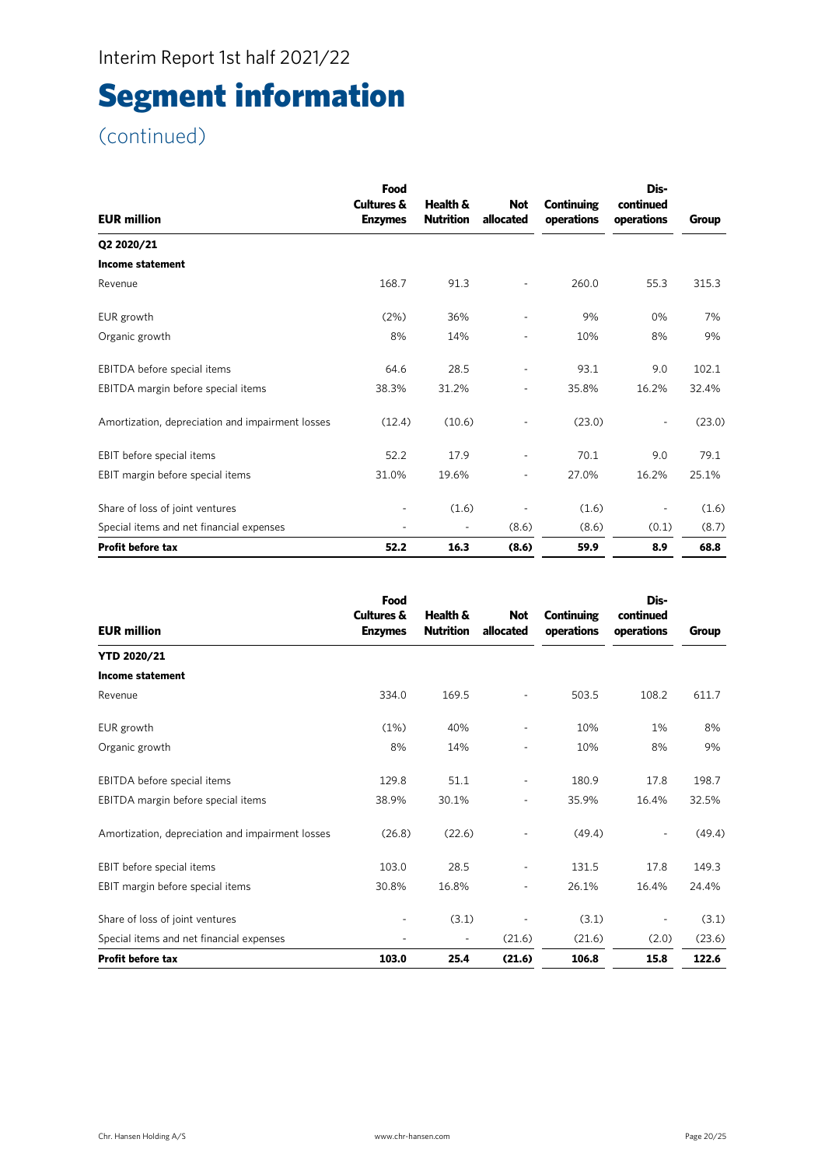# Segment information

| <b>EUR million</b>                               | Food<br><b>Cultures &amp;</b><br><b>Enzymes</b> | Health &<br><b>Nutrition</b> | <b>Not</b><br>allocated  | <b>Continuing</b><br>operations | Dis-<br>continued<br>operations | Group  |
|--------------------------------------------------|-------------------------------------------------|------------------------------|--------------------------|---------------------------------|---------------------------------|--------|
| Q2 2020/21                                       |                                                 |                              |                          |                                 |                                 |        |
| Income statement                                 |                                                 |                              |                          |                                 |                                 |        |
| Revenue                                          | 168.7                                           | 91.3                         |                          | 260.0                           | 55.3                            | 315.3  |
| EUR growth                                       | (2%)                                            | 36%                          | $\overline{\phantom{a}}$ | 9%                              | 0%                              | 7%     |
| Organic growth                                   | 8%                                              | 14%                          |                          | 10%                             | 8%                              | 9%     |
| EBITDA before special items                      | 64.6                                            | 28.5                         | ÷,                       | 93.1                            | 9.0                             | 102.1  |
| EBITDA margin before special items               | 38.3%                                           | 31.2%                        | $\overline{\phantom{0}}$ | 35.8%                           | 16.2%                           | 32.4%  |
| Amortization, depreciation and impairment losses | (12.4)                                          | (10.6)                       |                          | (23.0)                          |                                 | (23.0) |
| EBIT before special items                        | 52.2                                            | 17.9                         | ÷,                       | 70.1                            | 9.0                             | 79.1   |
| EBIT margin before special items                 | 31.0%                                           | 19.6%                        | $\overline{\phantom{a}}$ | 27.0%                           | 16.2%                           | 25.1%  |
| Share of loss of joint ventures                  | ٠                                               | (1.6)                        |                          | (1.6)                           |                                 | (1.6)  |
| Special items and net financial expenses         |                                                 |                              | (8.6)                    | (8.6)                           | (0.1)                           | (8.7)  |
| <b>Profit before tax</b>                         | 52.2                                            | 16.3                         | (8.6)                    | 59.9                            | 8.9                             | 68.8   |

| <b>EUR million</b>                               | Food<br><b>Cultures &amp;</b><br><b>Enzymes</b> | Health &<br><b>Nutrition</b> | <b>Not</b><br>allocated  | <b>Continuing</b><br>operations | Dis-<br>continued<br>operations | Group  |
|--------------------------------------------------|-------------------------------------------------|------------------------------|--------------------------|---------------------------------|---------------------------------|--------|
| <b>YTD 2020/21</b>                               |                                                 |                              |                          |                                 |                                 |        |
| <b>Income statement</b>                          |                                                 |                              |                          |                                 |                                 |        |
| Revenue                                          | 334.0                                           | 169.5                        |                          | 503.5                           | 108.2                           | 611.7  |
| EUR growth                                       | (1%)                                            | 40%                          |                          | 10%                             | 1%                              | 8%     |
| Organic growth                                   | 8%                                              | 14%                          |                          | 10%                             | 8%                              | 9%     |
| EBITDA before special items                      | 129.8                                           | 51.1                         | ٠                        | 180.9                           | 17.8                            | 198.7  |
| EBITDA margin before special items               | 38.9%                                           | 30.1%                        |                          | 35.9%                           | 16.4%                           | 32.5%  |
| Amortization, depreciation and impairment losses | (26.8)                                          | (22.6)                       | $\overline{a}$           | (49.4)                          |                                 | (49.4) |
| EBIT before special items                        | 103.0                                           | 28.5                         | $\overline{\phantom{a}}$ | 131.5                           | 17.8                            | 149.3  |
| EBIT margin before special items                 | 30.8%                                           | 16.8%                        |                          | 26.1%                           | 16.4%                           | 24.4%  |
| Share of loss of joint ventures                  |                                                 | (3.1)                        |                          | (3.1)                           |                                 | (3.1)  |
| Special items and net financial expenses         |                                                 | $\overline{\phantom{a}}$     | (21.6)                   | (21.6)                          | (2.0)                           | (23.6) |
| <b>Profit before tax</b>                         | 103.0                                           | 25.4                         | (21.6)                   | 106.8                           | 15.8                            | 122.6  |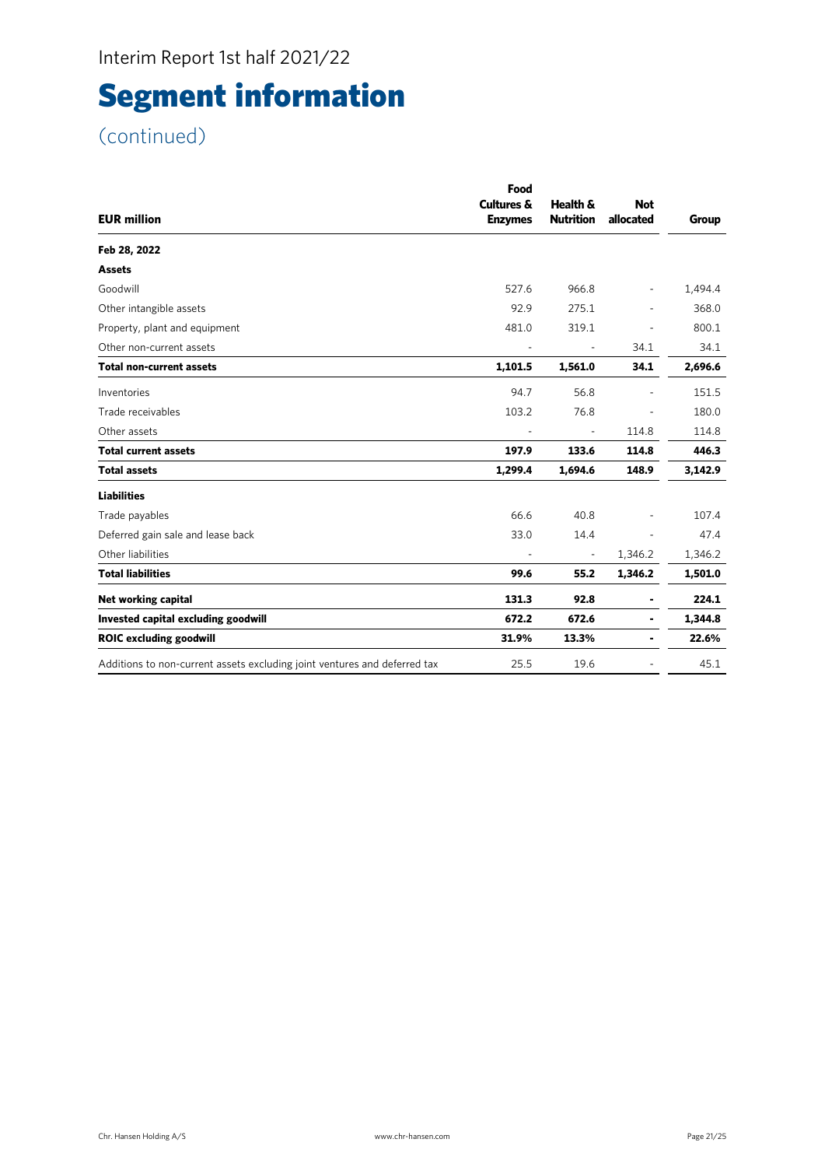# Segment information

| <b>EUR million</b>                                                        | Food<br>Cultures &<br><b>Enzymes</b> | Health &<br><b>Nutrition</b> | <b>Not</b><br>allocated  | Group   |
|---------------------------------------------------------------------------|--------------------------------------|------------------------------|--------------------------|---------|
| Feb 28, 2022                                                              |                                      |                              |                          |         |
| <b>Assets</b>                                                             |                                      |                              |                          |         |
| Goodwill                                                                  | 527.6                                | 966.8                        | $\overline{\phantom{a}}$ | 1,494.4 |
| Other intangible assets                                                   | 92.9                                 | 275.1                        |                          | 368.0   |
| Property, plant and equipment                                             | 481.0                                | 319.1                        |                          | 800.1   |
| Other non-current assets                                                  | $\overline{\phantom{a}}$             | $\blacksquare$               | 34.1                     | 34.1    |
| <b>Total non-current assets</b>                                           | 1,101.5                              | 1,561.0                      | 34.1                     | 2,696.6 |
| Inventories                                                               | 94.7                                 | 56.8                         |                          | 151.5   |
| Trade receivables                                                         | 103.2                                | 76.8                         |                          | 180.0   |
| Other assets                                                              |                                      |                              | 114.8                    | 114.8   |
| <b>Total current assets</b>                                               | 197.9                                | 133.6                        | 114.8                    | 446.3   |
| <b>Total assets</b>                                                       | 1,299.4                              | 1,694.6                      | 148.9                    | 3,142.9 |
| <b>Liabilities</b>                                                        |                                      |                              |                          |         |
| Trade payables                                                            | 66.6                                 | 40.8                         |                          | 107.4   |
| Deferred gain sale and lease back                                         | 33.0                                 | 14.4                         |                          | 47.4    |
| Other liabilities                                                         |                                      | $\overline{\phantom{a}}$     | 1,346.2                  | 1,346.2 |
| <b>Total liabilities</b>                                                  | 99.6                                 | 55.2                         | 1,346.2                  | 1,501.0 |
| Net working capital                                                       | 131.3                                | 92.8                         | ۰                        | 224.1   |
| Invested capital excluding goodwill                                       | 672.2                                | 672.6                        | ۰                        | 1,344.8 |
| <b>ROIC excluding goodwill</b>                                            | 31.9%                                | 13.3%                        | ۰                        | 22.6%   |
| Additions to non-current assets excluding joint ventures and deferred tax | 25.5                                 | 19.6                         |                          | 45.1    |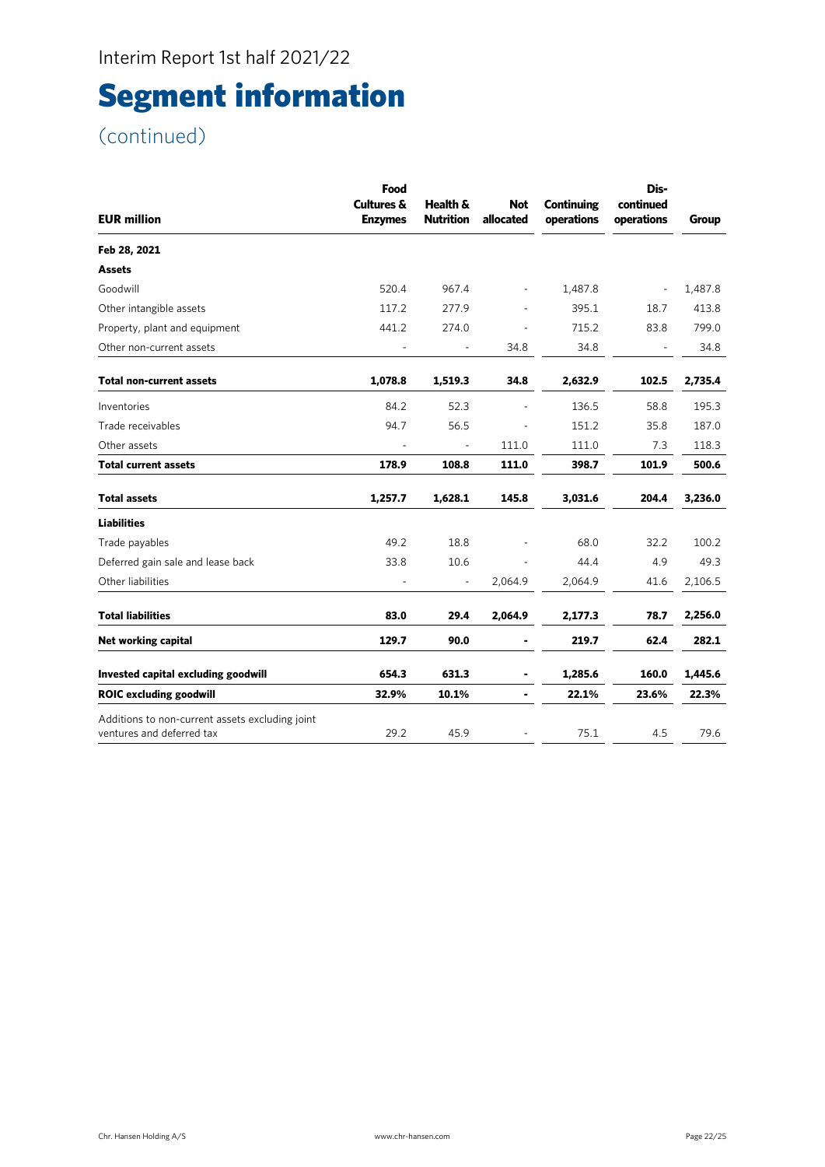# Segment information

|                                                                              | Food<br><b>Cultures &amp;</b> | Health &         | <b>Not</b>               | <b>Continuing</b> | Dis-<br>continued        |         |
|------------------------------------------------------------------------------|-------------------------------|------------------|--------------------------|-------------------|--------------------------|---------|
| <b>EUR million</b>                                                           | <b>Enzymes</b>                | <b>Nutrition</b> | allocated                | operations        | operations               | Group   |
| Feb 28, 2021                                                                 |                               |                  |                          |                   |                          |         |
| <b>Assets</b>                                                                |                               |                  |                          |                   |                          |         |
| Goodwill                                                                     | 520.4                         | 967.4            | $\overline{\phantom{a}}$ | 1,487.8           | $\overline{\phantom{a}}$ | 1,487.8 |
| Other intangible assets                                                      | 117.2                         | 277.9            |                          | 395.1             | 18.7                     | 413.8   |
| Property, plant and equipment                                                | 441.2                         | 274.0            |                          | 715.2             | 83.8                     | 799.0   |
| Other non-current assets                                                     |                               |                  | 34.8                     | 34.8              |                          | 34.8    |
| Total non-current assets                                                     | 1,078.8                       | 1,519.3          | 34.8                     | 2,632.9           | 102.5                    | 2,735.4 |
| Inventories                                                                  | 84.2                          | 52.3             |                          | 136.5             | 58.8                     | 195.3   |
| Trade receivables                                                            | 94.7                          | 56.5             |                          | 151.2             | 35.8                     | 187.0   |
| Other assets                                                                 |                               |                  | 111.0                    | 111.0             | 7.3                      | 118.3   |
| Total current assets                                                         | 178.9                         | 108.8            | 111.0                    | 398.7             | 101.9                    | 500.6   |
| Total assets                                                                 | 1,257.7                       | 1,628.1          | 145.8                    | 3,031.6           | 204.4                    | 3,236.0 |
| <b>Liabilities</b>                                                           |                               |                  |                          |                   |                          |         |
| Trade payables                                                               | 49.2                          | 18.8             |                          | 68.0              | 32.2                     | 100.2   |
| Deferred gain sale and lease back                                            | 33.8                          | 10.6             | $\blacksquare$           | 44.4              | 4.9                      | 49.3    |
| Other liabilities                                                            |                               |                  | 2,064.9                  | 2,064.9           | 41.6                     | 2,106.5 |
| <b>Total liabilities</b>                                                     | 83.0                          | 29.4             | 2,064.9                  | 2,177.3           | 78.7                     | 2,256.0 |
| Net working capital                                                          | 129.7                         | 90.0             |                          | 219.7             | 62.4                     | 282.1   |
| Invested capital excluding goodwill                                          | 654.3                         | 631.3            |                          | 1,285.6           | 160.0                    | 1,445.6 |
| <b>ROIC excluding goodwill</b>                                               | 32.9%                         | 10.1%            |                          | 22.1%             | 23.6%                    | 22.3%   |
| Additions to non-current assets excluding joint<br>ventures and deferred tax | 29.2                          | 45.9             |                          | 75.1              | 4.5                      | 79.6    |
|                                                                              |                               |                  |                          |                   |                          |         |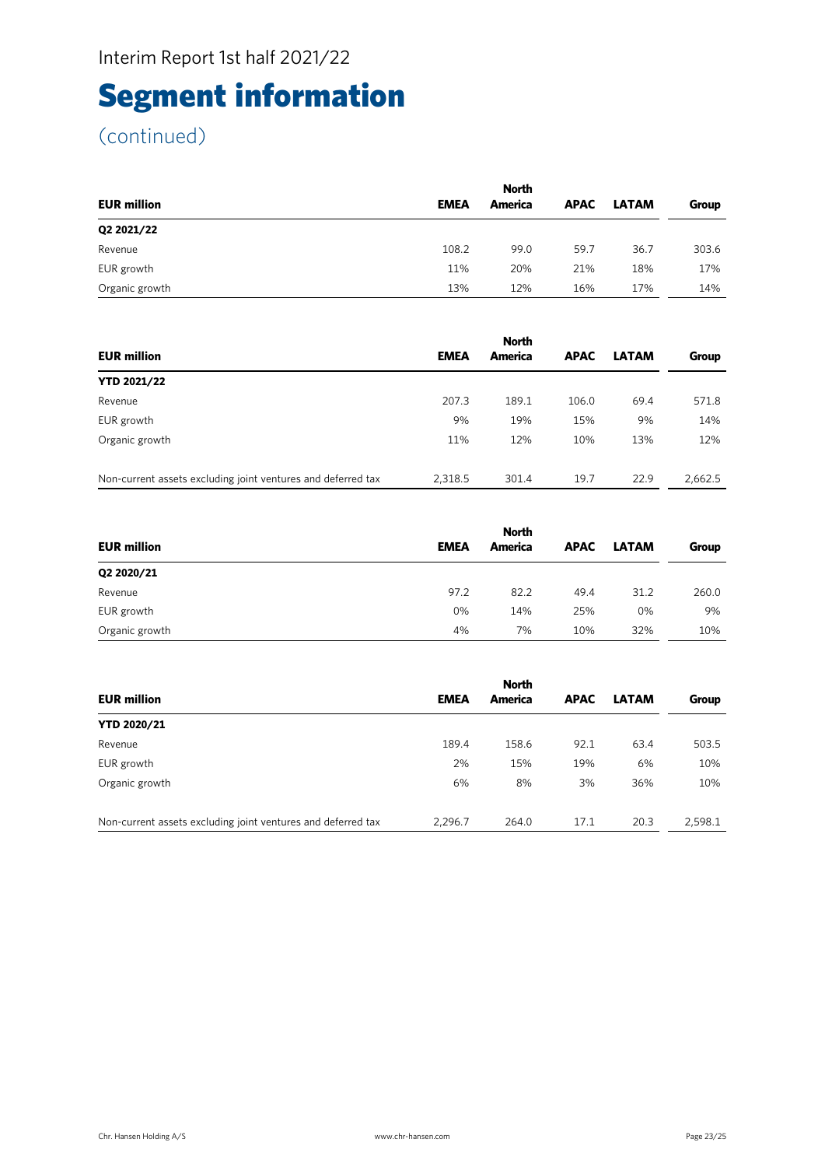# Segment information

| <b>EUR million</b> | <b>EMEA</b> | <b>North</b><br>America | <b>APAC</b> | <b>LATAM</b> | Group |
|--------------------|-------------|-------------------------|-------------|--------------|-------|
| Q2 2021/22         |             |                         |             |              |       |
| Revenue            | 108.2       | 99.0                    | 59.7        | 36.7         | 303.6 |
| EUR growth         | 11%         | 20%                     | 21%         | 18%          | 17%   |
| Organic growth     | 13%         | 12%                     | 16%         | 17%          | 14%   |

|                                                              | <b>North</b> |         |             |              |         |  |
|--------------------------------------------------------------|--------------|---------|-------------|--------------|---------|--|
| <b>EUR million</b>                                           | <b>EMEA</b>  | America | <b>APAC</b> | <b>LATAM</b> | Group   |  |
| <b>YTD 2021/22</b>                                           |              |         |             |              |         |  |
| Revenue                                                      | 207.3        | 189.1   | 106.0       | 69.4         | 571.8   |  |
| EUR growth                                                   | 9%           | 19%     | 15%         | 9%           | 14%     |  |
| Organic growth                                               | 11%          | 12%     | 10%         | 13%          | 12%     |  |
|                                                              |              |         |             |              |         |  |
| Non-current assets excluding joint ventures and deferred tax | 2,318.5      | 301.4   | 19.7        | 22.9         | 2,662.5 |  |

|                    | <b>North</b> |         |             |              |       |  |
|--------------------|--------------|---------|-------------|--------------|-------|--|
| <b>EUR million</b> | <b>EMEA</b>  | America | <b>APAC</b> | <b>LATAM</b> | Group |  |
| Q2 2020/21         |              |         |             |              |       |  |
| Revenue            | 97.2         | 82.2    | 49.4        | 31.2         | 260.0 |  |
| EUR growth         | 0%           | 14%     | 25%         | 0%           | 9%    |  |
| Organic growth     | 4%           | 7%      | 10%         | 32%          | 10%   |  |

|                                                              |             | <b>North</b> |             |              |         |
|--------------------------------------------------------------|-------------|--------------|-------------|--------------|---------|
| <b>EUR million</b>                                           | <b>EMEA</b> | America      | <b>APAC</b> | <b>LATAM</b> | Group   |
| <b>YTD 2020/21</b>                                           |             |              |             |              |         |
| Revenue                                                      | 189.4       | 158.6        | 92.1        | 63.4         | 503.5   |
| EUR growth                                                   | 2%          | 15%          | 19%         | 6%           | 10%     |
| Organic growth                                               | 6%          | 8%           | 3%          | 36%          | 10%     |
|                                                              |             |              |             |              |         |
| Non-current assets excluding joint ventures and deferred tax | 2,296.7     | 264.0        | 17.1        | 20.3         | 2,598.1 |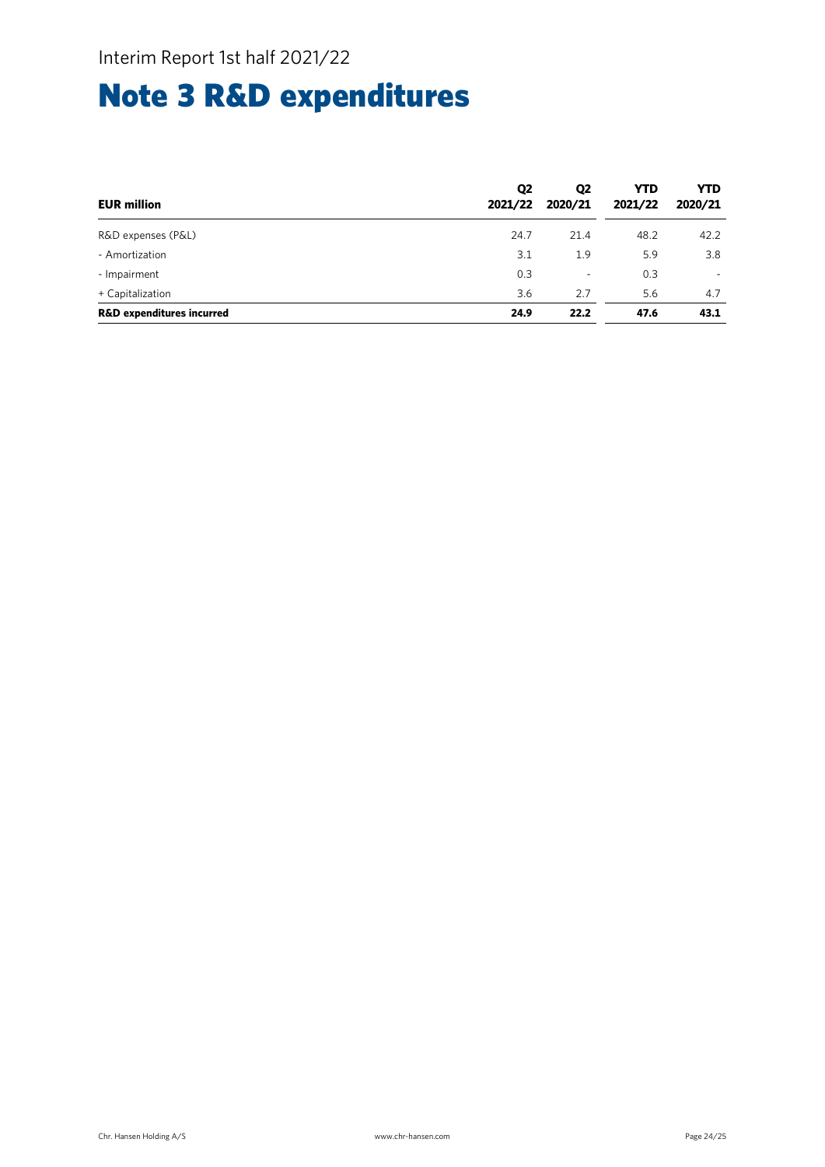# Note 3 R&D expenditures

| <b>EUR million</b>                   | Q <sub>2</sub><br>2021/22 | Q <sub>2</sub><br>2020/21 | <b>YTD</b><br>2021/22 | <b>YTD</b><br>2020/21 |
|--------------------------------------|---------------------------|---------------------------|-----------------------|-----------------------|
| R&D expenses (P&L)                   | 24.7                      | 21.4                      | 48.2                  | 42.2                  |
| - Amortization                       | 3.1                       | 1.9                       | 5.9                   | 3.8                   |
| - Impairment                         | 0.3                       | ٠                         | 0.3                   |                       |
| + Capitalization                     | 3.6                       | 2.7                       | 5.6                   | 4.7                   |
| <b>R&amp;D expenditures incurred</b> | 24.9                      | 22.2                      | 47.6                  | 43.1                  |